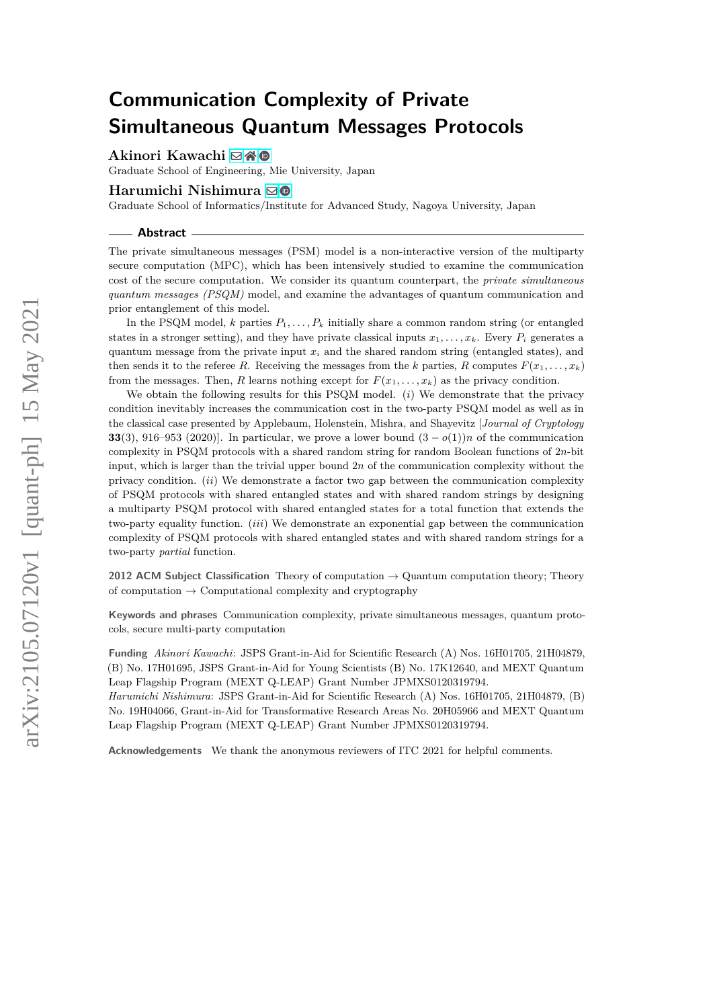# **Communication Complexity of Private Simultaneous Quantum Messages Protocols**

**Akinori Kawachi** ⊠\* <sup>©</sup>

Graduate School of Engineering, Mie University, Japan

# **Harumichi Nishimura** [!](mailto:hnishimura@i.nagoya-u.ac.jp)

Graduate School of Informatics/Institute for Advanced Study, Nagoya University, Japan

#### **Abstract**

The private simultaneous messages (PSM) model is a non-interactive version of the multiparty secure computation (MPC), which has been intensively studied to examine the communication cost of the secure computation. We consider its quantum counterpart, the *private simultaneous quantum messages (PSQM)* model, and examine the advantages of quantum communication and prior entanglement of this model.

In the PSQM model,  $k$  parties  $P_1, \ldots, P_k$  initially share a common random string (or entangled states in a stronger setting), and they have private classical inputs  $x_1, \ldots, x_k$ . Every  $P_i$  generates a quantum message from the private input  $x_i$  and the shared random string (entangled states), and then sends it to the referee R. Receiving the messages from the *k* parties, R computes  $F(x_1, \ldots, x_k)$ from the messages. Then, *R* learns nothing except for  $F(x_1, \ldots, x_k)$  as the privacy condition.

We obtain the following results for this PSQM model. (*i*) We demonstrate that the privacy condition inevitably increases the communication cost in the two-party PSQM model as well as in the classical case presented by Applebaum, Holenstein, Mishra, and Shayevitz [*Journal of Cryptology* **33**(3), 916–953 (2020)]. In particular, we prove a lower bound  $(3 - o(1))n$  of the communication complexity in PSQM protocols with a shared random string for random Boolean functions of 2*n*-bit input, which is larger than the trivial upper bound 2*n* of the communication complexity without the privacy condition. (*ii*) We demonstrate a factor two gap between the communication complexity of PSQM protocols with shared entangled states and with shared random strings by designing a multiparty PSQM protocol with shared entangled states for a total function that extends the two-party equality function. (*iii*) We demonstrate an exponential gap between the communication complexity of PSQM protocols with shared entangled states and with shared random strings for a two-party *partial* function.

**2012 ACM Subject Classification** Theory of computation → Quantum computation theory; Theory of computation  $\rightarrow$  Computational complexity and cryptography

**Keywords and phrases** Communication complexity, private simultaneous messages, quantum protocols, secure multi-party computation

**Funding** *Akinori Kawachi*: JSPS Grant-in-Aid for Scientific Research (A) Nos. 16H01705, 21H04879, (B) No. 17H01695, JSPS Grant-in-Aid for Young Scientists (B) No. 17K12640, and MEXT Quantum Leap Flagship Program (MEXT Q-LEAP) Grant Number JPMXS0120319794.

*Harumichi Nishimura*: JSPS Grant-in-Aid for Scientific Research (A) Nos. 16H01705, 21H04879, (B) No. 19H04066, Grant-in-Aid for Transformative Research Areas No. 20H05966 and MEXT Quantum Leap Flagship Program (MEXT Q-LEAP) Grant Number JPMXS0120319794.

**Acknowledgements** We thank the anonymous reviewers of ITC 2021 for helpful comments.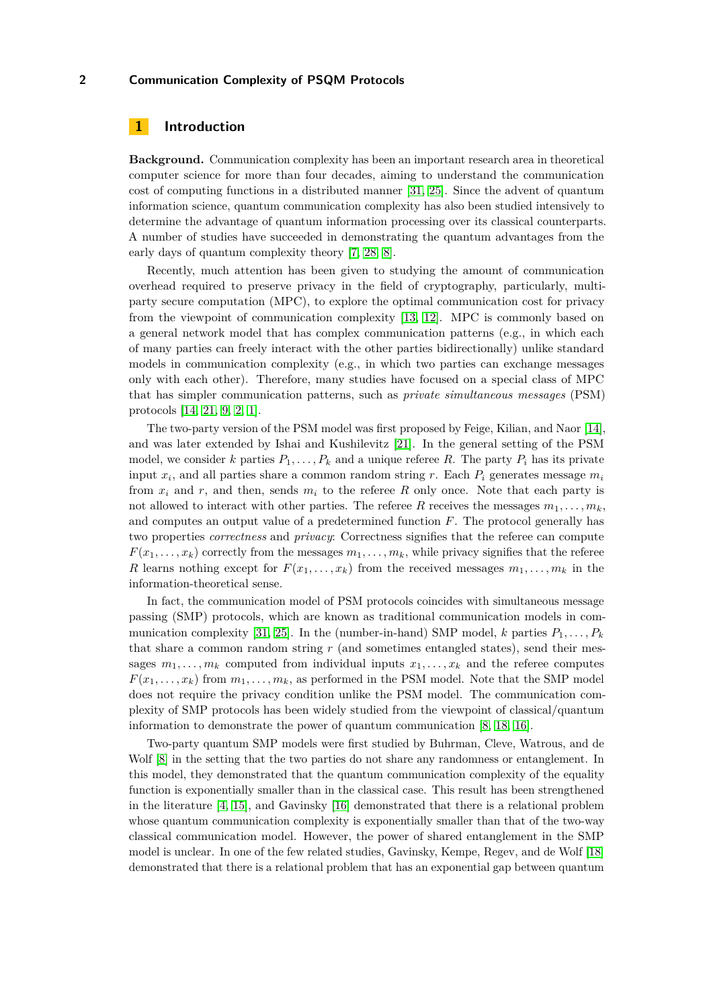# **1 Introduction**

**Background.** Communication complexity has been an important research area in theoretical computer science for more than four decades, aiming to understand the communication cost of computing functions in a distributed manner [\[31,](#page-16-0) [25\]](#page-16-1). Since the advent of quantum information science, quantum communication complexity has also been studied intensively to determine the advantage of quantum information processing over its classical counterparts. A number of studies have succeeded in demonstrating the quantum advantages from the early days of quantum complexity theory [\[7,](#page-15-0) [28,](#page-16-2) [8\]](#page-15-1).

Recently, much attention has been given to studying the amount of communication overhead required to preserve privacy in the field of cryptography, particularly, multiparty secure computation (MPC), to explore the optimal communication cost for privacy from the viewpoint of communication complexity [\[13,](#page-15-2) [12\]](#page-15-3). MPC is commonly based on a general network model that has complex communication patterns (e.g., in which each of many parties can freely interact with the other parties bidirectionally) unlike standard models in communication complexity (e.g., in which two parties can exchange messages only with each other). Therefore, many studies have focused on a special class of MPC that has simpler communication patterns, such as *private simultaneous messages* (PSM) protocols [\[14,](#page-16-3) [21,](#page-16-4) [9,](#page-15-4) [2,](#page-15-5) [1\]](#page-15-6).

The two-party version of the PSM model was first proposed by Feige, Kilian, and Naor [\[14\]](#page-16-3), and was later extended by Ishai and Kushilevitz [\[21\]](#page-16-4). In the general setting of the PSM model, we consider *k* parties  $P_1, \ldots, P_k$  and a unique referee R. The party  $P_i$  has its private input *x<sup>i</sup>* , and all parties share a common random string *r*. Each *P<sup>i</sup>* generates message *m<sup>i</sup>* from  $x_i$  and  $r$ , and then, sends  $m_i$  to the referee  $R$  only once. Note that each party is not allowed to interact with other parties. The referee R receives the messages  $m_1, \ldots, m_k$ , and computes an output value of a predetermined function *F*. The protocol generally has two properties *correctness* and *privacy*: Correctness signifies that the referee can compute  $F(x_1, \ldots, x_k)$  correctly from the messages  $m_1, \ldots, m_k$ , while privacy signifies that the referee *R* learns nothing except for  $F(x_1, \ldots, x_k)$  from the received messages  $m_1, \ldots, m_k$  in the information-theoretical sense.

In fact, the communication model of PSM protocols coincides with simultaneous message passing (SMP) protocols, which are known as traditional communication models in com-munication complexity [\[31,](#page-16-0) [25\]](#page-16-1). In the (number-in-hand) SMP model,  $k$  parties  $P_1, \ldots, P_k$ that share a common random string *r* (and sometimes entangled states), send their messages  $m_1, \ldots, m_k$  computed from individual inputs  $x_1, \ldots, x_k$  and the referee computes  $F(x_1, \ldots, x_k)$  from  $m_1, \ldots, m_k$ , as performed in the PSM model. Note that the SMP model does not require the privacy condition unlike the PSM model. The communication complexity of SMP protocols has been widely studied from the viewpoint of classical/quantum information to demonstrate the power of quantum communication [\[8,](#page-15-1) [18,](#page-16-5) [16\]](#page-16-6).

Two-party quantum SMP models were first studied by Buhrman, Cleve, Watrous, and de Wolf  $[8]$  in the setting that the two parties do not share any randomness or entanglement. In this model, they demonstrated that the quantum communication complexity of the equality function is exponentially smaller than in the classical case. This result has been strengthened in the literature [\[4,](#page-15-7) [15\]](#page-16-7), and Gavinsky [\[16\]](#page-16-6) demonstrated that there is a relational problem whose quantum communication complexity is exponentially smaller than that of the two-way classical communication model. However, the power of shared entanglement in the SMP model is unclear. In one of the few related studies, Gavinsky, Kempe, Regev, and de Wolf [\[18\]](#page-16-5) demonstrated that there is a relational problem that has an exponential gap between quantum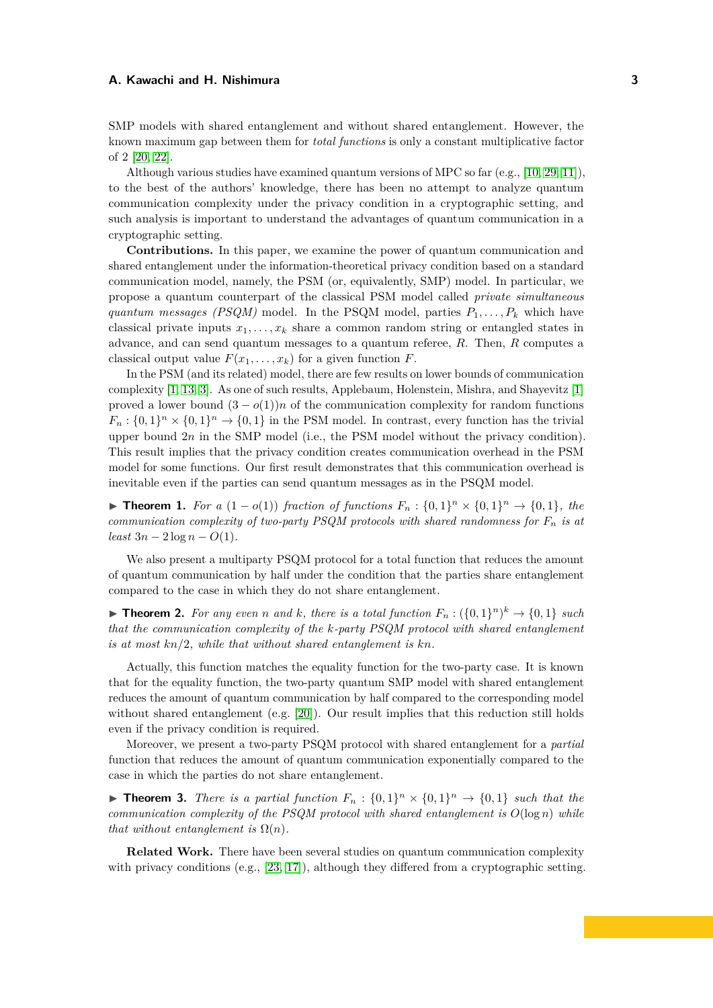SMP models with shared entanglement and without shared entanglement. However, the known maximum gap between them for *total functions* is only a constant multiplicative factor of 2 [\[20,](#page-16-8) [22\]](#page-16-9).

Although various studies have examined quantum versions of MPC so far (e.g., [\[10,](#page-15-8) [29,](#page-16-10) [11\]](#page-15-9)), to the best of the authors' knowledge, there has been no attempt to analyze quantum communication complexity under the privacy condition in a cryptographic setting, and such analysis is important to understand the advantages of quantum communication in a cryptographic setting.

**Contributions.** In this paper, we examine the power of quantum communication and shared entanglement under the information-theoretical privacy condition based on a standard communication model, namely, the PSM (or, equivalently, SMP) model. In particular, we propose a quantum counterpart of the classical PSM model called *private simultaneous quantum messages (PSQM)* model. In the PSQM model, parties  $P_1, \ldots, P_k$  which have classical private inputs  $x_1, \ldots, x_k$  share a common random string or entangled states in advance, and can send quantum messages to a quantum referee, *R*. Then, *R* computes a classical output value  $F(x_1, \ldots, x_k)$  for a given function  $F$ .

In the PSM (and its related) model, there are few results on lower bounds of communication complexity [\[1,](#page-15-6) [13,](#page-15-2) [3\]](#page-15-10). As one of such results, Applebaum, Holenstein, Mishra, and Shayevitz [\[1\]](#page-15-6) proved a lower bound  $(3 - o(1))n$  of the communication complexity for random functions  $F_n: \{0,1\}^n \times \{0,1\}^n \to \{0,1\}$  in the PSM model. In contrast, every function has the trivial upper bound 2*n* in the SMP model (i.e., the PSM model without the privacy condition). This result implies that the privacy condition creates communication overhead in the PSM model for some functions. Our first result demonstrates that this communication overhead is inevitable even if the parties can send quantum messages as in the PSQM model.

<span id="page-2-0"></span>▶ **Theorem 1.** *For a*  $(1 - o(1))$  *fraction of functions*  $F_n$  :  $\{0,1\}^n \times \{0,1\}^n \rightarrow \{0,1\}$ *, the communication complexity of two-party PSQM protocols with shared randomness for*  $F_n$  *is at*  $least\,3n - 2\log n - O(1)$ .

We also present a multiparty PSQM protocol for a total function that reduces the amount of quantum communication by half under the condition that the parties share entanglement compared to the case in which they do not share entanglement.

<span id="page-2-1"></span>▶ **Theorem 2.** For any even *n* and *k,* there is a total function  $F_n$  :  $({0,1}^n)^k$  →  ${0,1}$  *such that the communication complexity of the k-party PSQM protocol with shared entanglement is at most kn/*2*, while that without shared entanglement is kn.*

Actually, this function matches the equality function for the two-party case. It is known that for the equality function, the two-party quantum SMP model with shared entanglement reduces the amount of quantum communication by half compared to the corresponding model without shared entanglement (e.g. [\[20\]](#page-16-8)). Our result implies that this reduction still holds even if the privacy condition is required.

Moreover, we present a two-party PSQM protocol with shared entanglement for a *partial* function that reduces the amount of quantum communication exponentially compared to the case in which the parties do not share entanglement.

<span id="page-2-2"></span>**Find 1. Theorem 3.** *There is a partial function*  $F_n : \{0,1\}^n \times \{0,1\}^n \rightarrow \{0,1\}$  *such that the communication complexity of the PSQM protocol with shared entanglement is O*(log *n*) *while that without entanglement is*  $\Omega(n)$ *.* 

**Related Work.** There have been several studies on quantum communication complexity with privacy conditions (e.g., [\[23,](#page-16-11) [17\]](#page-16-12)), although they differed from a cryptographic setting.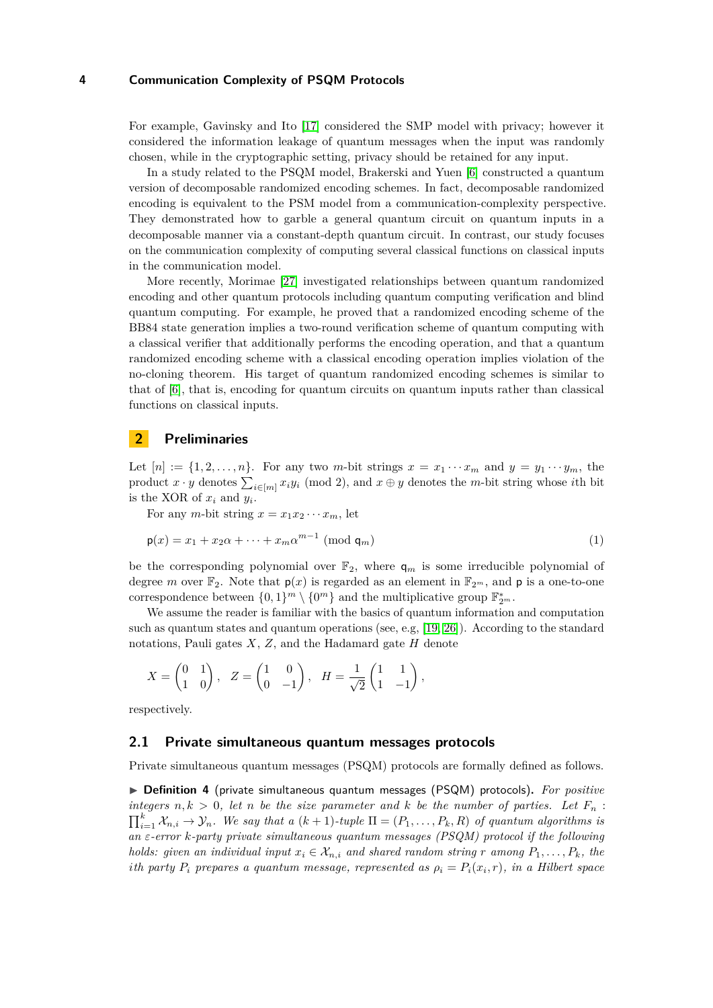For example, Gavinsky and Ito [\[17\]](#page-16-12) considered the SMP model with privacy; however it considered the information leakage of quantum messages when the input was randomly chosen, while in the cryptographic setting, privacy should be retained for any input.

In a study related to the PSQM model, Brakerski and Yuen [\[6\]](#page-15-11) constructed a quantum version of decomposable randomized encoding schemes. In fact, decomposable randomized encoding is equivalent to the PSM model from a communication-complexity perspective. They demonstrated how to garble a general quantum circuit on quantum inputs in a decomposable manner via a constant-depth quantum circuit. In contrast, our study focuses on the communication complexity of computing several classical functions on classical inputs in the communication model.

More recently, Morimae [\[27\]](#page-16-13) investigated relationships between quantum randomized encoding and other quantum protocols including quantum computing verification and blind quantum computing. For example, he proved that a randomized encoding scheme of the BB84 state generation implies a two-round verification scheme of quantum computing with a classical verifier that additionally performs the encoding operation, and that a quantum randomized encoding scheme with a classical encoding operation implies violation of the no-cloning theorem. His target of quantum randomized encoding schemes is similar to that of [\[6\]](#page-15-11), that is, encoding for quantum circuits on quantum inputs rather than classical functions on classical inputs.

# **2 Preliminaries**

Let  $[n] := \{1, 2, \ldots, n\}$ . For any two *m*-bit strings  $x = x_1 \cdots x_m$  and  $y = y_1 \cdots y_m$ , the product  $x \cdot y$  denotes  $\sum_{i \in [m]} x_i y_i \pmod{2}$ , and  $x \oplus y$  denotes the *m*-bit string whose *i*th bit is the XOR of  $x_i$  and  $y_i$ .

For any *m*-bit string  $x = x_1 x_2 \cdots x_m$ , let

$$
\mathsf{p}(x) = x_1 + x_2 \alpha + \dots + x_m \alpha^{m-1} \pmod{\mathsf{q}_m} \tag{1}
$$

be the corresponding polynomial over  $\mathbb{F}_2$ , where  $q_m$  is some irreducible polynomial of degree *m* over  $\mathbb{F}_2$ . Note that  $p(x)$  is regarded as an element in  $\mathbb{F}_{2^m}$ , and p is a one-to-one correspondence between  $\{0,1\}^m \setminus \{0^m\}$  and the multiplicative group  $\mathbb{F}_{2^m}^*$ .

We assume the reader is familiar with the basics of quantum information and computation such as quantum states and quantum operations (see, e.g, [\[19,](#page-16-14) [26\]](#page-16-15)). According to the standard notations, Pauli gates *X*, *Z*, and the Hadamard gate *H* denote

$$
X = \begin{pmatrix} 0 & 1 \\ 1 & 0 \end{pmatrix}, \quad Z = \begin{pmatrix} 1 & 0 \\ 0 & -1 \end{pmatrix}, \quad H = \frac{1}{\sqrt{2}} \begin{pmatrix} 1 & 1 \\ 1 & -1 \end{pmatrix},
$$

respectively.

## **2.1 Private simultaneous quantum messages protocols**

Private simultaneous quantum messages (PSQM) protocols are formally defined as follows.

▶ **Definition 4** (private simultaneous quantum messages (PSQM) protocols)**.** *For positive integers*  $n, k > 0$ , let *n* be the size parameter and *k* be the number of parties. Let  $F_n$ :  $\prod_{i=1}^{k} X_{n,i} \rightarrow \mathcal{Y}_n$ *. We say that a*  $(k+1)$ *-tuple*  $\Pi = (P_1, \ldots, P_k, R)$  *of quantum algorithms is an ε-error k-party private simultaneous quantum messages (PSQM) protocol if the following holds: given an individual input*  $x_i \in \mathcal{X}_{n,i}$  *and shared random string r among*  $P_1, \ldots, P_k$ *, the i*<sup>th</sup> party  $P_i$  prepares a quantum message, represented as  $\rho_i = P_i(x_i, r)$ , in a Hilbert space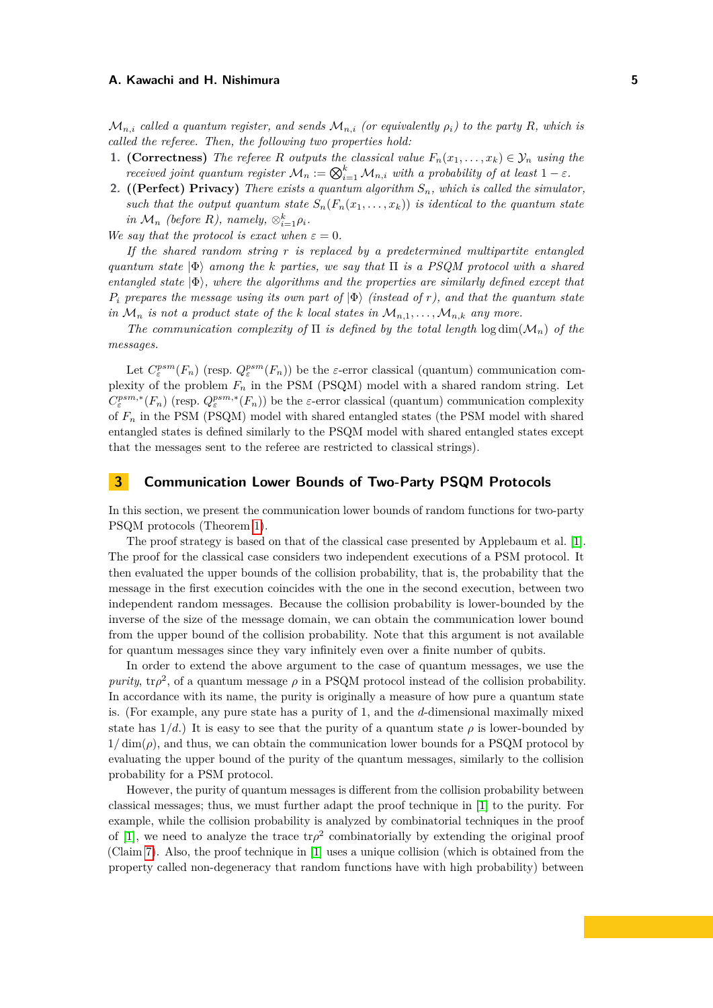$\mathcal{M}_{n,i}$  called a quantum register, and sends  $\mathcal{M}_{n,i}$  (or equivalently  $\rho_i$ ) to the party R, which is *called the referee. Then, the following two properties hold:*

- **1. (Correctness)** *The referee R outputs the classical value*  $F_n(x_1, \ldots, x_k) \in \mathcal{Y}_n$  *using the received joint quantum register*  $\mathcal{M}_n := \bigotimes_{i=1}^k \mathcal{M}_{n,i}$  *with a probability of at least*  $1 - \varepsilon$ *.*
- **2. ((Perfect) Privacy)** *There exists a quantum algorithm Sn, which is called the simulator, such that the output quantum state*  $S_n(F_n(x_1, \ldots, x_k))$  *is identical to the quantum state in*  $\mathcal{M}_n$  *(before R), namely,*  $\otimes_{i=1}^k \rho_i$ *.*

*We say that the protocol is exact when*  $\varepsilon = 0$ *.* 

*If the shared random string r is replaced by a predetermined multipartite entangled quantum state* |Φ⟩ *among the k parties, we say that* Π *is a PSQM protocol with a shared entangled state* |Φ⟩*, where the algorithms and the properties are similarly defined except that*  $P_i$  *prepares the message using its own part of*  $|\Phi\rangle$  *(instead of r), and that the quantum state in*  $\mathcal{M}_n$  *is not a product state of the k local states in*  $\mathcal{M}_{n,1}, \ldots, \mathcal{M}_{n,k}$  *any more.* 

*The communication complexity of*  $\Pi$  *is defined by the total length*  $\log \dim(\mathcal{M}_n)$  *of the messages.*

Let  $C_{\varepsilon}^{psm}(F_n)$  (resp.  $Q_{\varepsilon}^{psm}(F_n)$ ) be the *ε*-error classical (quantum) communication complexity of the problem *F<sup>n</sup>* in the PSM (PSQM) model with a shared random string. Let  $C_{\varepsilon}^{psm,*}(F_n)$  (resp.  $Q_{\varepsilon}^{psm,*}(F_n)$ ) be the *ε*-error classical (quantum) communication complexity of *F<sup>n</sup>* in the PSM (PSQM) model with shared entangled states (the PSM model with shared entangled states is defined similarly to the PSQM model with shared entangled states except that the messages sent to the referee are restricted to classical strings).

# **3 Communication Lower Bounds of Two-Party PSQM Protocols**

In this section, we present the communication lower bounds of random functions for two-party PSQM protocols (Theorem [1\)](#page-2-0).

The proof strategy is based on that of the classical case presented by Applebaum et al. [\[1\]](#page-15-6). The proof for the classical case considers two independent executions of a PSM protocol. It then evaluated the upper bounds of the collision probability, that is, the probability that the message in the first execution coincides with the one in the second execution, between two independent random messages. Because the collision probability is lower-bounded by the inverse of the size of the message domain, we can obtain the communication lower bound from the upper bound of the collision probability. Note that this argument is not available for quantum messages since they vary infinitely even over a finite number of qubits.

In order to extend the above argument to the case of quantum messages, we use the *purity*,  $\text{tr}\rho^2$ , of a quantum message  $\rho$  in a PSQM protocol instead of the collision probability. In accordance with its name, the purity is originally a measure of how pure a quantum state is. (For example, any pure state has a purity of 1, and the *d*-dimensional maximally mixed state has  $1/d$ .) It is easy to see that the purity of a quantum state  $\rho$  is lower-bounded by  $1/\dim(\rho)$ , and thus, we can obtain the communication lower bounds for a PSQM protocol by evaluating the upper bound of the purity of the quantum messages, similarly to the collision probability for a PSM protocol.

However, the purity of quantum messages is different from the collision probability between classical messages; thus, we must further adapt the proof technique in [\[1\]](#page-15-6) to the purity. For example, while the collision probability is analyzed by combinatorial techniques in the proof of [\[1\]](#page-15-6), we need to analyze the trace  $tr\rho^2$  combinatorially by extending the original proof (Claim [7\)](#page-6-0). Also, the proof technique in [\[1\]](#page-15-6) uses a unique collision (which is obtained from the property called non-degeneracy that random functions have with high probability) between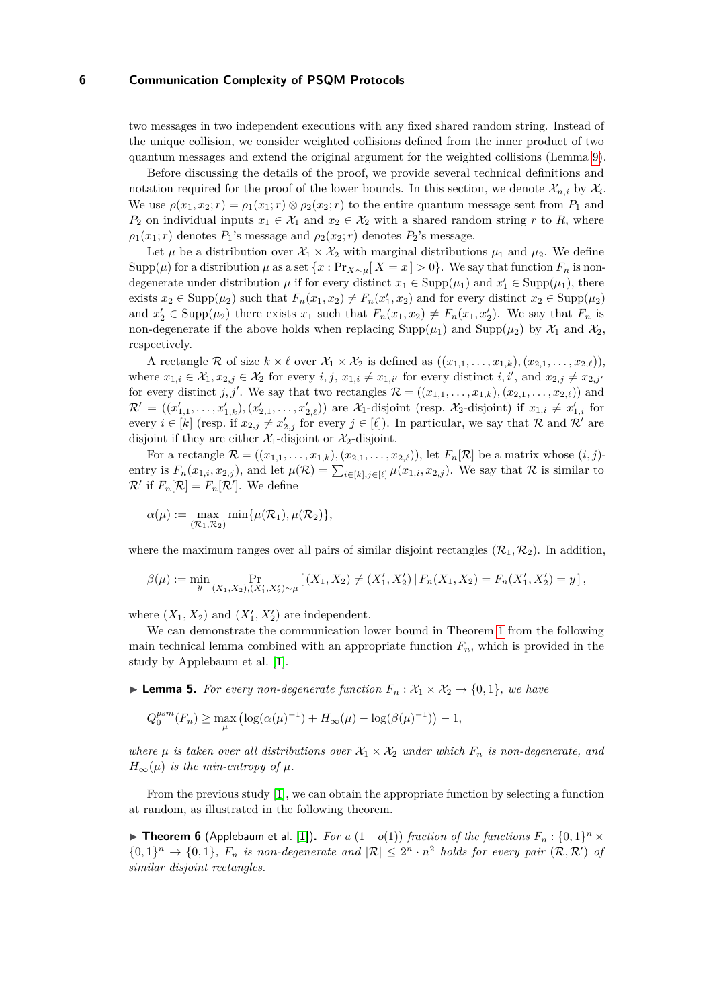two messages in two independent executions with any fixed shared random string. Instead of the unique collision, we consider weighted collisions defined from the inner product of two quantum messages and extend the original argument for the weighted collisions (Lemma [9\)](#page-7-0).

Before discussing the details of the proof, we provide several technical definitions and notation required for the proof of the lower bounds. In this section, we denote  $\mathcal{X}_{n,i}$  by  $\mathcal{X}_i$ . We use  $\rho(x_1, x_2; r) = \rho_1(x_1; r) \otimes \rho_2(x_2; r)$  to the entire quantum message sent from  $P_1$  and *P*<sub>2</sub> on individual inputs  $x_1 \in \mathcal{X}_1$  and  $x_2 \in \mathcal{X}_2$  with a shared random string *r* to *R*, where  $\rho_1(x_1; r)$  denotes  $P_1$ 's message and  $\rho_2(x_2; r)$  denotes  $P_2$ 's message.

Let  $\mu$  be a distribution over  $\mathcal{X}_1 \times \mathcal{X}_2$  with marginal distributions  $\mu_1$  and  $\mu_2$ . We define Supp( $\mu$ ) for a distribution  $\mu$  as a set  $\{x : \Pr_{X \sim \mu}[X = x] > 0\}$ . We say that function  $F_n$  is nondegenerate under distribution  $\mu$  if for every distinct  $x_1 \in \text{Supp}(\mu_1)$  and  $x_1' \in \text{Supp}(\mu_1)$ , there exists  $x_2 \in \text{Supp}(\mu_2)$  such that  $F_n(x_1, x_2) \neq F_n(x_1', x_2)$  and for every distinct  $x_2 \in \text{Supp}(\mu_2)$ and  $x'_2 \in \text{Supp}(\mu_2)$  there exists  $x_1$  such that  $F_n(x_1, x_2) \neq F_n(x_1, x'_2)$ . We say that  $F_n$  is non-degenerate if the above holds when replacing  $\text{Supp}(\mu_1)$  and  $\text{Supp}(\mu_2)$  by  $\mathcal{X}_1$  and  $\mathcal{X}_2$ , respectively.

A rectangle R of size  $k \times \ell$  over  $\mathcal{X}_1 \times \mathcal{X}_2$  is defined as  $((x_{1,1}, \ldots, x_{1,k}), (x_{2,1}, \ldots, x_{2,\ell}))$ , where  $x_{1,i} \in \mathcal{X}_1, x_{2,j} \in \mathcal{X}_2$  for every  $i, j, x_{1,i} \neq x_{1,i'}$  for every distinct  $i, i'$ , and  $x_{2,j} \neq x_{2,j'}$ for every distinct *j*, *j'*. We say that two rectangles  $\mathcal{R} = ((x_{1,1}, \ldots, x_{1,k}), (x_{2,1}, \ldots, x_{2,\ell}))$  and  $\mathcal{R}' = ((x'_{1,1}, \ldots, x'_{1,k}), (x'_{2,1}, \ldots, x'_{2,\ell}))$  are  $\mathcal{X}_1$ -disjoint (resp.  $\mathcal{X}_2$ -disjoint) if  $x_{1,i} \neq x'_{1,i}$  for every  $i \in [k]$  (resp. if  $x_{2,j} \neq x'_{2,j}$  for every  $j \in [\ell]$ ). In particular, we say that R and R' are disjoint if they are either  $\mathcal{X}_1$ -disjoint or  $\mathcal{X}_2$ -disjoint.

For a rectangle  $\mathcal{R} = ((x_{1,1}, \ldots, x_{1,k}), (x_{2,1}, \ldots, x_{2,\ell}))$ , let  $F_n[\mathcal{R}]$  be a matrix whose  $(i, j)$ entry is  $F_n(x_{1,i}, x_{2,j})$ , and let  $\mu(\mathcal{R}) = \sum_{i \in [k], j \in [\ell]} \mu(x_{1,i}, x_{2,j})$ . We say that  $\mathcal{R}$  is similar to  $\mathcal{R}'$  if  $F_n[\mathcal{R}] = F_n[\mathcal{R}']$ . We define

$$
\alpha(\mu) := \max_{(\mathcal{R}_1, \mathcal{R}_2)} \min \{ \mu(\mathcal{R}_1), \mu(\mathcal{R}_2) \},
$$

where the maximum ranges over all pairs of similar disjoint rectangles  $(\mathcal{R}_1, \mathcal{R}_2)$ . In addition,

$$
\beta(\mu) := \min_{y} \Pr_{(X_1, X_2), (X_1', X_2') \sim \mu} \left[ (X_1, X_2) \neq (X_1', X_2') \, \middle| \, F_n(X_1, X_2) = F_n(X_1', X_2') = y \right],
$$

where  $(X_1, X_2)$  and  $(X'_1, X'_2)$  are independent.

We can demonstrate the communication lower bound in Theorem [1](#page-2-0) from the following main technical lemma combined with an appropriate function  $F_n$ , which is provided in the study by Applebaum et al. [\[1\]](#page-15-6).

<span id="page-5-0"></span>▶ **Lemma 5.** *For every non-degenerate function*  $F_n$  :  $\mathcal{X}_1 \times \mathcal{X}_2$  → {0, 1}*, we have* 

$$
Q_0^{psm}(F_n) \ge \max_{\mu} \left( \log(\alpha(\mu)^{-1}) + H_{\infty}(\mu) - \log(\beta(\mu)^{-1}) \right) - 1,
$$

*where*  $\mu$  *is taken over all distributions over*  $\mathcal{X}_1 \times \mathcal{X}_2$  *under which*  $F_n$  *is non-degenerate, and*  $H_{\infty}(\mu)$  *is the min-entropy of*  $\mu$ *.* 

From the previous study [\[1\]](#page-15-6), we can obtain the appropriate function by selecting a function at random, as illustrated in the following theorem.

<span id="page-5-1"></span>▶ **Theorem 6** (Applebaum et al. [\[1\]](#page-15-6)). For a  $(1 - o(1))$  fraction of the functions  $F_n : \{0,1\}^n \times$  $\{0,1\}^n \to \{0,1\}$ ,  $F_n$  is non-degenerate and  $|\mathcal{R}| \leq 2^n \cdot n^2$  holds for every pair  $(\mathcal{R},\mathcal{R}')$  of *similar disjoint rectangles.*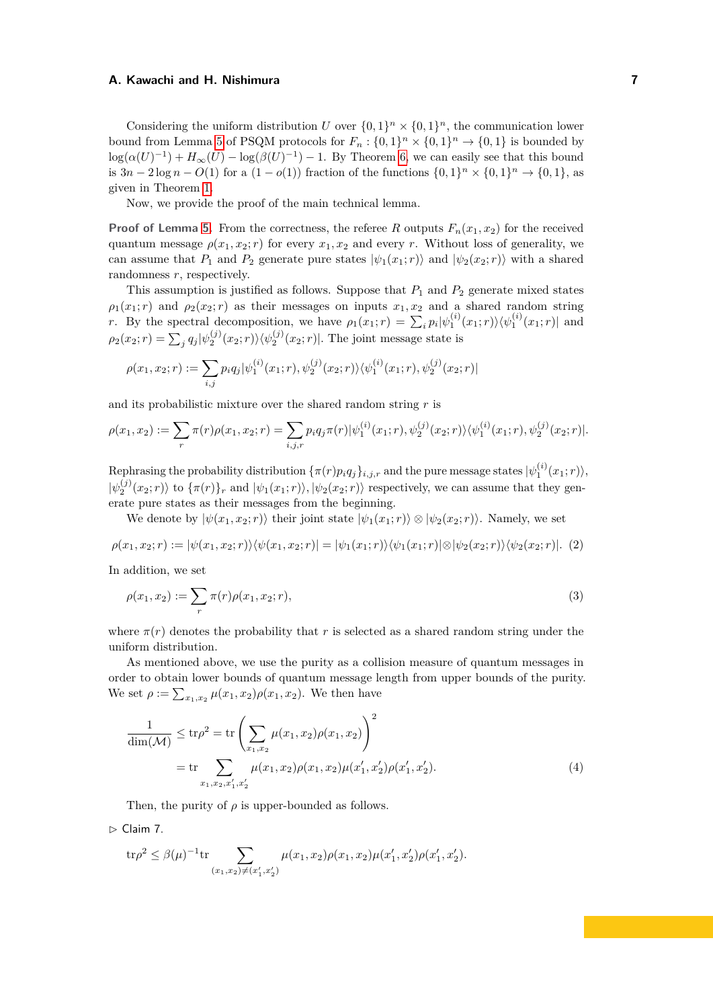Considering the uniform distribution *U* over  $\{0,1\}^n \times \{0,1\}^n$ , the communication lower bound from Lemma [5](#page-5-0) of PSQM protocols for  $F_n: \{0,1\}^n \times \{0,1\}^n \to \{0,1\}$  is bounded by  $\log(\alpha(U)^{-1}) + H_{\infty}(U) - \log(\beta(U)^{-1}) - 1$ . By Theorem [6,](#page-5-1) we can easily see that this bound is  $3n - 2\log n - O(1)$  for a  $(1 - o(1))$  fraction of the functions  $\{0, 1\}^n \times \{0, 1\}^n \rightarrow \{0, 1\}$ , as given in Theorem [1.](#page-2-0)

Now, we provide the proof of the main technical lemma.

**Proof of Lemma [5.](#page-5-0)** From the correctness, the referee *R* outputs  $F_n(x_1, x_2)$  for the received quantum message  $\rho(x_1, x_2; r)$  for every  $x_1, x_2$  and every *r*. Without loss of generality, we can assume that  $P_1$  and  $P_2$  generate pure states  $|\psi_1(x_1; r)\rangle$  and  $|\psi_2(x_2; r)\rangle$  with a shared randomness *r*, respectively.

This assumption is justified as follows. Suppose that  $P_1$  and  $P_2$  generate mixed states  $\rho_1(x_1; r)$  and  $\rho_2(x_2; r)$  as their messages on inputs  $x_1, x_2$  and a shared random string *r*. By the spectral decomposition, we have  $\rho_1(x_1;r) = \sum_i p_i |\psi_1^{(i)}(x_1;r)\rangle \langle \psi_1^{(i)}(x_1;r)|$  and  $\rho_2(x_2;r) = \sum_j q_j |\psi_2^{(j)}(x_2;r)\rangle \langle \psi_2^{(j)}(x_2;r)|$ . The joint message state is

$$
\rho(x_1, x_2; r) := \sum_{i,j} p_i q_j |\psi_1^{(i)}(x_1; r), \psi_2^{(j)}(x_2; r) \rangle \langle \psi_1^{(i)}(x_1; r), \psi_2^{(j)}(x_2; r) |
$$

and its probabilistic mixture over the shared random string *r* is

$$
\rho(x_1, x_2) := \sum_r \pi(r) \rho(x_1, x_2; r) = \sum_{i,j,r} p_i q_j \pi(r) |\psi_1^{(i)}(x_1; r), \psi_2^{(j)}(x_2; r) \rangle \langle \psi_1^{(i)}(x_1; r), \psi_2^{(j)}(x_2; r)|.
$$

 $\text{Rephrasing the probability distribution } \{\pi(r)p_iq_j\}_{i,j,r} \text{ and the pure message states } |\psi_1^{(i)}(x_1;r)\rangle,$  $|\psi_2^{(j)}(x_2;r)\rangle$  to  $\{\pi(r)\}_r$  and  $|\psi_1(x_1;r)\rangle$ ,  $|\psi_2(x_2;r)\rangle$  respectively, we can assume that they generate pure states as their messages from the beginning.

<span id="page-6-3"></span>We denote by  $|\psi(x_1, x_2; r)|$  their joint state  $|\psi_1(x_1; r)| \otimes |\psi_2(x_2; r)|$ . Namely, we set

$$
\rho(x_1, x_2; r) := |\psi(x_1, x_2; r)\rangle\langle\psi(x_1, x_2; r)| = |\psi_1(x_1; r)\rangle\langle\psi_1(x_1; r)| \otimes |\psi_2(x_2; r)\rangle\langle\psi_2(x_2; r)|. (2)
$$

In addition, we set

<span id="page-6-1"></span>
$$
\rho(x_1, x_2) := \sum_r \pi(r)\rho(x_1, x_2; r),\tag{3}
$$

where  $\pi(r)$  denotes the probability that r is selected as a shared random string under the uniform distribution.

As mentioned above, we use the purity as a collision measure of quantum messages in order to obtain lower bounds of quantum message length from upper bounds of the purity. We set  $\rho := \sum_{x_1, x_2} \mu(x_1, x_2) \rho(x_1, x_2)$ . We then have

<span id="page-6-2"></span>
$$
\frac{1}{\dim(\mathcal{M})} \le \text{tr}\rho^2 = \text{tr}\left(\sum_{x_1,x_2} \mu(x_1,x_2)\rho(x_1,x_2)\right)^2
$$
  
= tr  $\sum_{x_1,x_2,x'_1,x'_2} \mu(x_1,x_2)\rho(x_1,x_2)\mu(x'_1,x'_2)\rho(x'_1,x'_2).$  (4)

Then, the purity of  $\rho$  is upper-bounded as follows.

<span id="page-6-0"></span>▷ Claim 7.

$$
\text{tr}\rho^2 \le \beta(\mu)^{-1}\text{tr}\sum_{(x_1,x_2)\neq (x_1',x_2')}\mu(x_1,x_2)\rho(x_1,x_2)\mu(x_1',x_2')\rho(x_1',x_2').
$$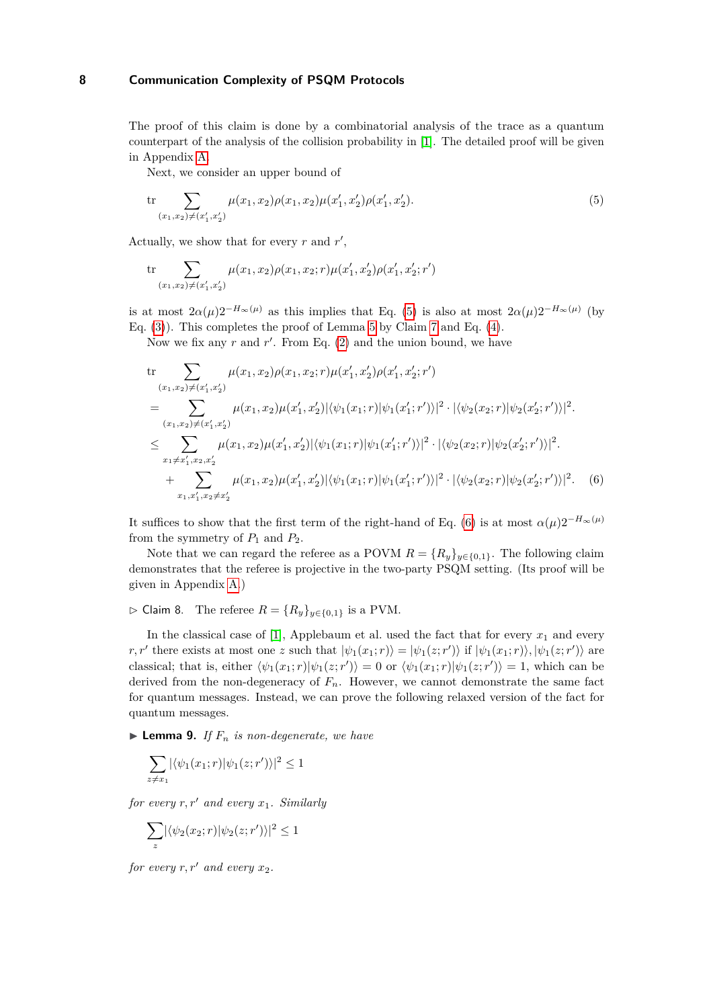The proof of this claim is done by a combinatorial analysis of the trace as a quantum counterpart of the analysis of the collision probability in [\[1\]](#page-15-6). The detailed proof will be given in Appendix [A.](#page-16-16)

<span id="page-7-1"></span>Next, we consider an upper bound of

$$
\operatorname{tr} \sum_{(x_1, x_2) \neq (x'_1, x'_2)} \mu(x_1, x_2) \rho(x_1, x_2) \mu(x'_1, x'_2) \rho(x'_1, x'_2). \tag{5}
$$

Actually, we show that for every  $r$  and  $r'$ ,

$$
\mathrm{tr}\sum_{(x_1,x_2)\neq(x_1',x_2')}\mu(x_1,x_2)\rho(x_1,x_2;r)\mu(x_1',x_2')\rho(x_1',x_2';r')
$$

is at most  $2\alpha(\mu)2^{-H_{\infty}(\mu)}$  as this implies that Eq. [\(5\)](#page-7-1) is also at most  $2\alpha(\mu)2^{-H_{\infty}(\mu)}$  (by Eq. [\(3\)](#page-6-1)). This completes the proof of Lemma [5](#page-5-0) by Claim [7](#page-6-0) and Eq. [\(4\)](#page-6-2).

Now we fix any  $r$  and  $r'$ . From Eq.  $(2)$  and the union bound, we have

<span id="page-7-2"></span>tr  
\n
$$
\sum_{(x_1,x_2)\neq(x'_1,x'_2)} \mu(x_1,x_2)\rho(x_1,x_2;r)\mu(x'_1,x'_2)\rho(x'_1,x'_2;r')
$$
\n
$$
= \sum_{(x_1,x_2)\neq(x'_1,x'_2)} \mu(x_1,x_2)\mu(x'_1,x'_2)|\langle\psi_1(x_1;r)|\psi_1(x'_1;r')\rangle|^2 \cdot |\langle\psi_2(x_2;r)|\psi_2(x'_2;r')\rangle|^2.
$$
\n
$$
\leq \sum_{x_1\neq x'_1,x_2,x'_2} \mu(x_1,x_2)\mu(x'_1,x'_2)|\langle\psi_1(x_1;r)|\psi_1(x'_1;r')\rangle|^2 \cdot |\langle\psi_2(x_2;r)|\psi_2(x'_2;r')\rangle|^2.
$$
\n
$$
+ \sum_{x_1,x'_1,x_2\neq x'_2} \mu(x_1,x_2)\mu(x'_1,x'_2)|\langle\psi_1(x_1;r)|\psi_1(x'_1;r')\rangle|^2 \cdot |\langle\psi_2(x_2;r)|\psi_2(x'_2;r')\rangle|^2. \tag{6}
$$

It suffices to show that the first term of the right-hand of Eq. [\(6\)](#page-7-2) is at most  $\alpha(\mu)2^{-H_{\infty}(\mu)}$ from the symmetry of  $P_1$  and  $P_2$ .

Note that we can regard the referee as a POVM  $R = \{R_y\}_{y \in \{0,1\}}$ . The following claim demonstrates that the referee is projective in the two-party PSQM setting. (Its proof will be given in Appendix [A.](#page-16-16))

<span id="page-7-3"></span>▷ Claim 8. The referee *R* = {*Ry*}*y*∈{0*,*1} is a PVM.

In the classical case of [\[1\]](#page-15-6), Applebaum et al. used the fact that for every  $x_1$  and every *r*, *r'* there exists at most one *z* such that  $|\psi_1(x_1; r)\rangle = |\psi_1(z; r')\rangle$  if  $|\psi_1(x_1; r)\rangle$ ,  $|\psi_1(z; r')\rangle$  are classical; that is, either  $\langle \psi_1(x_1;r)|\psi_1(z;r')\rangle = 0$  or  $\langle \psi_1(x_1;r)|\psi_1(z;r')\rangle = 1$ , which can be derived from the non-degeneracy of  $F_n$ . However, we cannot demonstrate the same fact for quantum messages. Instead, we can prove the following relaxed version of the fact for quantum messages.

<span id="page-7-0"></span> $\blacktriangleright$  **Lemma 9.** *If*  $F_n$  *is non-degenerate, we have* 

$$
\sum_{z \neq x_1} |\langle \psi_1(x_1; r) | \psi_1(z; r') \rangle|^2 \leq 1
$$

*for every r, r*′ *and every x*1*. Similarly*

$$
\sum_{z} |\langle \psi_2(x_2; r) | \psi_2(z; r') \rangle|^2 \le 1
$$

*for every*  $r, r'$  *and every*  $x_2$ *.*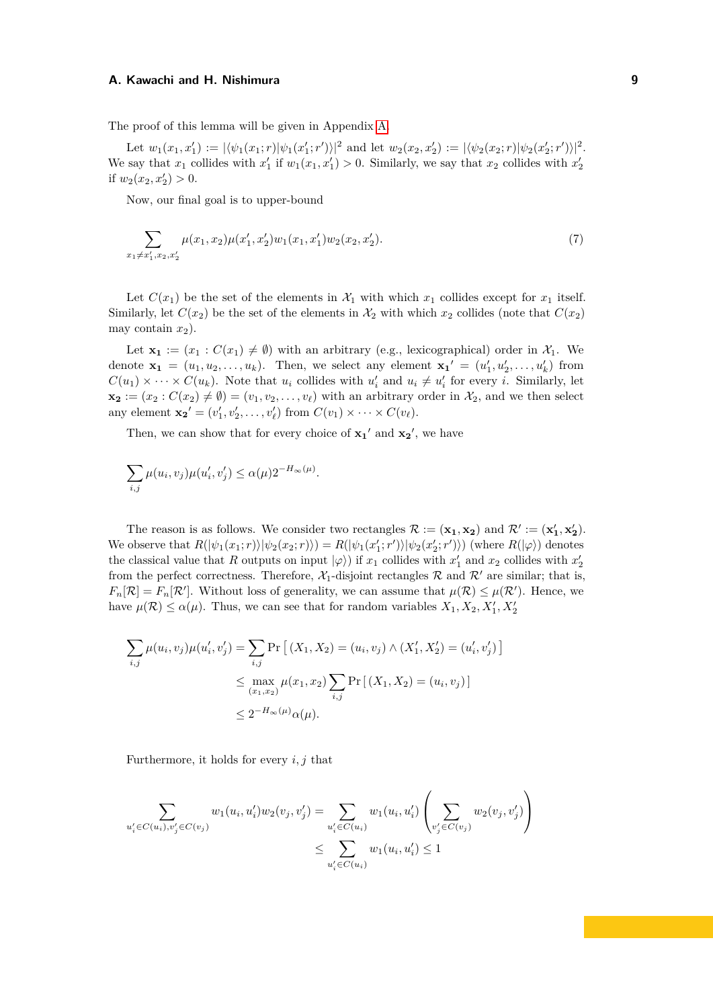The proof of this lemma will be given in Appendix [A.](#page-16-16)

Let  $w_1(x_1, x_1') := |\langle \psi_1(x_1; r) | \psi_1(x_1'; r') \rangle|^2$  and let  $w_2(x_2, x_2') := |\langle \psi_2(x_2; r) | \psi_2(x_2'; r') \rangle|^2$ . We say that  $x_1$  collides with  $x'_1$  if  $w_1(x_1, x'_1) > 0$ . Similarly, we say that  $x_2$  collides with  $x'_2$ if  $w_2(x_2, x'_2) > 0$ .

<span id="page-8-0"></span>Now, our final goal is to upper-bound

$$
\sum_{x_1 \neq x_1', x_2, x_2'} \mu(x_1, x_2) \mu(x_1', x_2') w_1(x_1, x_1') w_2(x_2, x_2').
$$
\n(7)

Let  $C(x_1)$  be the set of the elements in  $\mathcal{X}_1$  with which  $x_1$  collides except for  $x_1$  itself. Similarly, let  $C(x_2)$  be the set of the elements in  $\mathcal{X}_2$  with which  $x_2$  collides (note that  $C(x_2)$ ) may contain  $x_2$ ).

Let  $\mathbf{x}_1 := (x_1 : C(x_1) \neq \emptyset)$  with an arbitrary (e.g., lexicographical) order in  $\mathcal{X}_1$ . We denote  $\mathbf{x}_1 = (u_1, u_2, \dots, u_k)$ . Then, we select any element  $\mathbf{x}_1' = (u'_1, u'_2, \dots, u'_k)$  from  $C(u_1) \times \cdots \times C(u_k)$ . Note that  $u_i$  collides with  $u'_i$  and  $u_i \neq u'_i$  for every *i*. Similarly, let  $\mathbf{x_2} := (x_2 : C(x_2) \neq \emptyset) = (v_1, v_2, \dots, v_\ell)$  with an arbitrary order in  $\mathcal{X}_2$ , and we then select any element  $\mathbf{x_2}' = (v'_1, v'_2, \dots, v'_\ell)$  from  $C(v_1) \times \dots \times C(v_\ell)$ .

Then, we can show that for every choice of  $x_1'$  and  $x_2'$ , we have

$$
\sum_{i,j}\mu(u_i,v_j)\mu(u'_i,v'_j)\leq \alpha(\mu)2^{-H_\infty(\mu)}.
$$

The reason is as follows. We consider two rectangles  $\mathcal{R} := (\mathbf{x}_1, \mathbf{x}_2)$  and  $\mathcal{R}' := (\mathbf{x}'_1, \mathbf{x}'_2)$ . We observe that  $R(|\psi_1(x_1; r)| |\psi_2(x_2; r)|) = R(|\psi_1(x'_1; r')| |\psi_2(x'_2; r')\rangle)$  (where  $R(|\varphi\rangle)$  denotes the classical value that *R* outputs on input  $|\varphi\rangle$ ) if  $x_1$  collides with  $x'_1$  and  $x_2$  collides with  $x'_2$ from the perfect correctness. Therefore,  $\mathcal{X}_1$ -disjoint rectangles  $\mathcal{R}$  and  $\mathcal{R}'$  are similar; that is,  $F_n[\mathcal{R}] = F_n[\mathcal{R}']$ . Without loss of generality, we can assume that  $\mu(\mathcal{R}) \leq \mu(\mathcal{R}')$ . Hence, we have  $\mu(\mathcal{R}) \leq \alpha(\mu)$ . Thus, we can see that for random variables  $X_1, X_2, X'_1, X'_2$ 

$$
\sum_{i,j} \mu(u_i, v_j) \mu(u'_i, v'_j) = \sum_{i,j} \Pr\left[ (X_1, X_2) = (u_i, v_j) \land (X'_1, X'_2) = (u'_i, v'_j) \right]
$$
  

$$
\leq \max_{(x_1, x_2)} \mu(x_1, x_2) \sum_{i,j} \Pr\left[ (X_1, X_2) = (u_i, v_j) \right]
$$
  

$$
\leq 2^{-H_{\infty}(\mu)} \alpha(\mu).
$$

Furthermore, it holds for every *i, j* that

$$
\sum_{u'_i \in C(u_i), v'_j \in C(v_j)} w_1(u_i, u'_i) w_2(v_j, v'_j) = \sum_{u'_i \in C(u_i)} w_1(u_i, u'_i) \left( \sum_{v'_j \in C(v_j)} w_2(v_j, v'_j) \right)
$$
  

$$
\leq \sum_{u'_i \in C(u_i)} w_1(u_i, u'_i) \leq 1
$$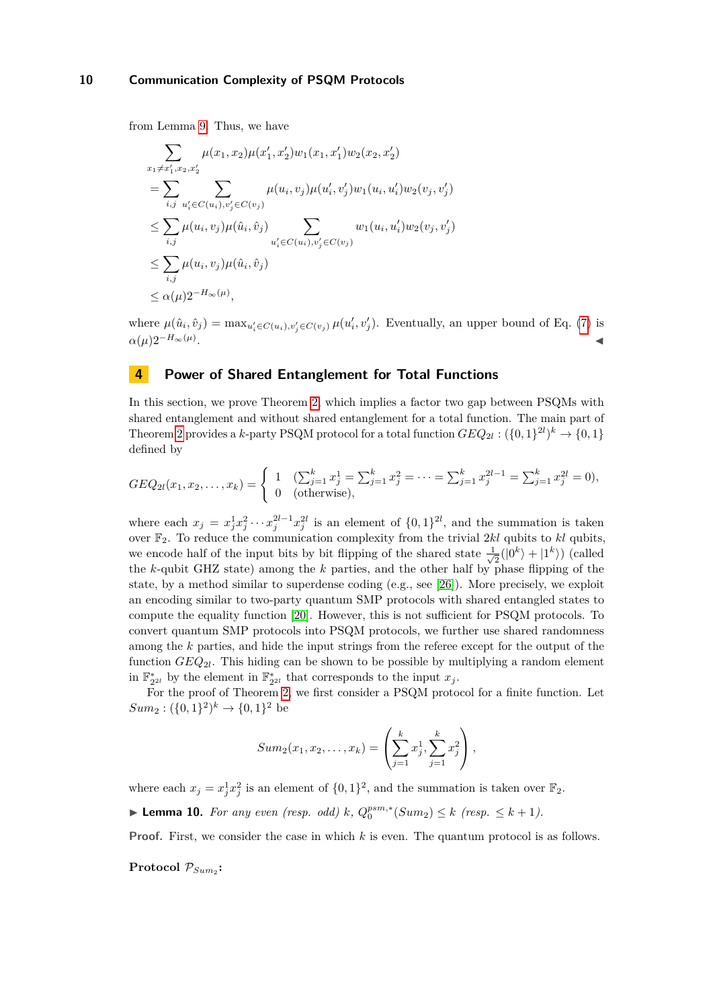from Lemma [9.](#page-7-0) Thus, we have

$$
\sum_{x_1 \neq x'_1, x_2, x'_2} \mu(x_1, x_2) \mu(x'_1, x'_2) w_1(x_1, x'_1) w_2(x_2, x'_2)
$$
\n
$$
= \sum_{i,j} \sum_{u'_i \in C(u_i), v'_j \in C(v_j)} \mu(u_i, v_j) \mu(u'_i, v'_j) w_1(u_i, u'_i) w_2(v_j, v'_j)
$$
\n
$$
\leq \sum_{i,j} \mu(u_i, v_j) \mu(\hat{u}_i, \hat{v}_j) \sum_{u'_i \in C(u_i), v'_j \in C(v_j)} w_1(u_i, u'_i) w_2(v_j, v'_j)
$$
\n
$$
\leq \sum_{i,j} \mu(u_i, v_j) \mu(\hat{u}_i, \hat{v}_j)
$$
\n
$$
\leq \alpha(\mu) 2^{-H_\infty(\mu)},
$$

where  $\mu(\hat{u}_i, \hat{v}_j) = \max_{u'_i \in C(u_i), v'_j \in C(v_j)} \mu(u'_i, v'_j)$ . Eventually, an upper bound of Eq. [\(7\)](#page-8-0) is  $\alpha(\mu)2^{-H_{\infty}(\mu)}$ . . ◀

# **4 Power of Shared Entanglement for Total Functions**

In this section, we prove Theorem [2,](#page-2-1) which implies a factor two gap between PSQMs with shared entanglement and without shared entanglement for a total function. The main part of Theorem [2](#page-2-1) provides a *k*-party PSQM protocol for a total function  $GEQ_{2l} : (\{0,1\}^{2l})^k \rightarrow \{0,1\}$ defined by

$$
GEQ_{2l}(x_1, x_2, \dots, x_k) = \begin{cases} 1 & \left(\sum_{j=1}^k x_j^1 = \sum_{j=1}^k x_j^2 = \dots = \sum_{j=1}^k x_j^{2l-1} = \sum_{j=1}^k x_j^{2l} = 0\right), \\ 0 & \text{(otherwise)}, \end{cases}
$$

where each  $x_j = x_j^1 x_j^2 \cdots x_j^{2l-1} x_j^{2l}$  is an element of  $\{0,1\}^{2l}$ , and the summation is taken over F2. To reduce the communication complexity from the trivial 2*kl* qubits to *kl* qubits, we encode half of the input bits by bit flipping of the shared state  $\frac{1}{\sqrt{2}}$  $\frac{1}{2}(|0^k\rangle + |1^k\rangle)$  (called the *k*-qubit GHZ state) among the *k* parties, and the other half by phase flipping of the state, by a method similar to superdense coding (e.g., see [\[26\]](#page-16-15)). More precisely, we exploit an encoding similar to two-party quantum SMP protocols with shared entangled states to compute the equality function [\[20\]](#page-16-8). However, this is not sufficient for PSQM protocols. To convert quantum SMP protocols into PSQM protocols, we further use shared randomness among the *k* parties, and hide the input strings from the referee except for the output of the function *GEQ*2*<sup>l</sup>* . This hiding can be shown to be possible by multiplying a random element in  $\mathbb{F}_{2^{2l}}^*$  by the element in  $\mathbb{F}_{2^{2l}}^*$  that corresponds to the input  $x_j$ .

For the proof of Theorem [2,](#page-2-1) we first consider a PSQM protocol for a finite function. Let  $Sum_2: (\{0, 1\}^2)^k \rightarrow \{0, 1\}^2$  be

$$
Sum_2(x_1, x_2, \dots, x_k) = \left(\sum_{j=1}^k x_j^1, \sum_{j=1}^k x_j^2\right),
$$

where each  $x_j = x_j^1 x_j^2$  is an element of  $\{0,1\}^2$ , and the summation is taken over  $\mathbb{F}_2$ .

<span id="page-9-0"></span>▶ **Lemma 10.** *For any even (resp. odd) k*,  $Q_0^{psm,*}(Sum_2) \le k$  (resp. ≤ *k* + 1).

**Proof.** First, we consider the case in which *k* is even. The quantum protocol is as follows.

 $\mathbf{Protocol} \ \mathcal{P}_{Sum_2}$ :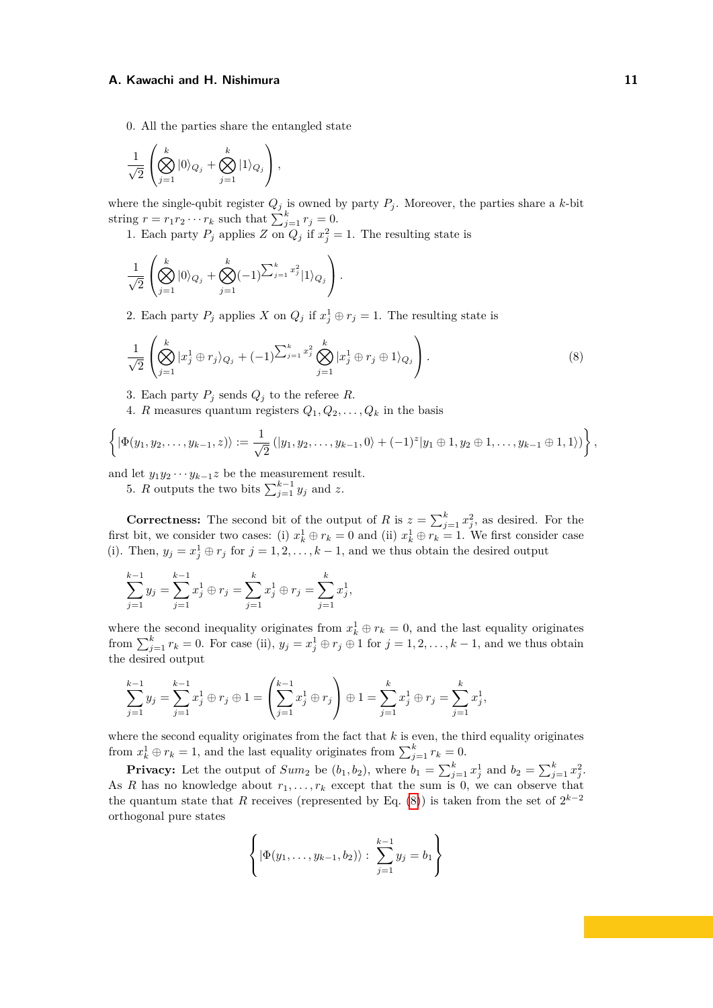0. All the parties share the entangled state

$$
\frac{1}{\sqrt{2}}\left(\bigotimes_{j=1}^k |0\rangle_{Q_j} + \bigotimes_{j=1}^k |1\rangle_{Q_j}\right),\,
$$

where the single-qubit register  $Q_j$  is owned by party  $P_j$ . Moreover, the parties share a *k*-bit string  $r = r_1 r_2 \cdots r_k$  such that  $\sum_{j=1}^k r_j = 0$ .

1. Each party  $P_j$  applies  $Z$  on  $Q_j$  if  $x_j^2 = 1$ . The resulting state is

$$
\frac{1}{\sqrt{2}}\left(\bigotimes_{j=1}^k |0\rangle_{Q_j} + \bigotimes_{j=1}^k (-1)^{\sum_{j=1}^k x_j^2} |1\rangle_{Q_j}\right).
$$

<span id="page-10-0"></span>2. Each party  $P_j$  applies  $X$  on  $Q_j$  if  $x_j^1 \oplus r_j = 1$ . The resulting state is

$$
\frac{1}{\sqrt{2}}\left(\bigotimes_{j=1}^k |x_j^1 \oplus r_j\rangle_{Q_j} + (-1)^{\sum_{j=1}^k x_j^2} \bigotimes_{j=1}^k |x_j^1 \oplus r_j \oplus 1\rangle_{Q_j}\right).
$$
\n(8)

3. Each party  $P_j$  sends  $Q_j$  to the referee  $R$ .

4. *R* measures quantum registers  $Q_1, Q_2, \ldots, Q_k$  in the basis

$$
\left\{|\Phi(y_1, y_2, \ldots, y_{k-1}, z)\rangle := \frac{1}{\sqrt{2}}\left(|y_1, y_2, \ldots, y_{k-1}, 0\rangle + (-1)^z |y_1 \oplus 1, y_2 \oplus 1, \ldots, y_{k-1} \oplus 1, 1\rangle\right)\right\},
$$

and let  $y_1y_2 \cdots y_{k-1}z$  be the measurement result.

5. *R* outputs the two bits  $\sum_{j=1}^{k-1} y_j$  and *z*.

**Correctness:** The second bit of the output of *R* is  $z = \sum_{j=1}^{k} x_j^2$ , as desired. For the first bit, we consider two cases: (i)  $x_k^1 \oplus r_k = 0$  and (ii)  $x_k^1 \oplus r_k = 1$ . We first consider case (i). Then,  $y_j = x_j^1 \oplus r_j$  for  $j = 1, 2, ..., k - 1$ , and we thus obtain the desired output

$$
\sum_{j=1}^{k-1} y_j = \sum_{j=1}^{k-1} x_j^1 \oplus r_j = \sum_{j=1}^k x_j^1 \oplus r_j = \sum_{j=1}^k x_j^1,
$$

where the second inequality originates from  $x_k^1 \oplus r_k = 0$ , and the last equality originates from  $\sum_{j=1}^{k} r_k = 0$ . For case (ii),  $y_j = x_j^1 \oplus r_j \oplus 1$  for  $j = 1, 2, \ldots, k - 1$ , and we thus obtain the desired output

$$
\sum_{j=1}^{k-1} y_j = \sum_{j=1}^{k-1} x_j^1 \oplus r_j \oplus 1 = \left(\sum_{j=1}^{k-1} x_j^1 \oplus r_j\right) \oplus 1 = \sum_{j=1}^{k} x_j^1 \oplus r_j = \sum_{j=1}^{k} x_j^1,
$$

where the second equality originates from the fact that *k* is even, the third equality originates from  $x_k^1 \oplus r_k = 1$ , and the last equality originates from  $\sum_{j=1}^k r_k = 0$ .

**Privacy:** Let the output of  $Sum_2$  be  $(b_1, b_2)$ , where  $b_1 = \sum_{j=1}^k x_j^1$  and  $b_2 = \sum_{j=1}^k x_j^2$ . As *R* has no knowledge about  $r_1, \ldots, r_k$  except that the sum is 0, we can observe that the quantum state that *R* receives (represented by Eq. [\(8\)](#page-10-0)) is taken from the set of  $2^{k-2}$ orthogonal pure states

$$
\left\{ |\Phi(y_1,\ldots,y_{k-1},b_2)\rangle : \sum_{j=1}^{k-1} y_j = b_1 \right\}
$$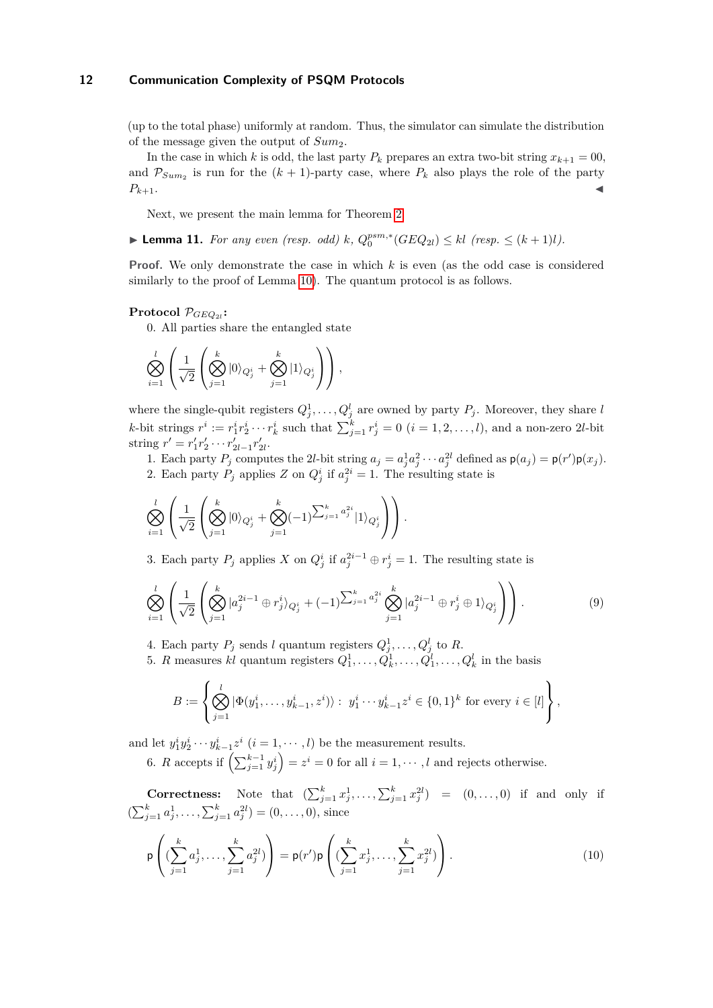(up to the total phase) uniformly at random. Thus, the simulator can simulate the distribution of the message given the output of *Sum*2.

In the case in which *k* is odd, the last party  $P_k$  prepares an extra two-bit string  $x_{k+1} = 00$ , and  $\mathcal{P}_{Sum_2}$  is run for the  $(k+1)$ -party case, where  $P_k$  also plays the role of the party  $P_{k+1}$ .

Next, we present the main lemma for Theorem [2.](#page-2-1)

<span id="page-11-2"></span>▶ **Lemma 11.** *For any even (resp. odd) k*,  $Q_0^{psm,*}(GEQ_{2l}) \le kl$  (resp. ≤  $(k + 1)l$ ).

**Proof.** We only demonstrate the case in which *k* is even (as the odd case is considered similarly to the proof of Lemma [10\)](#page-9-0). The quantum protocol is as follows.

# $\mathbf{Protocol} \ \mathcal{P}_{GEQ_{2l}}$ :

0. All parties share the entangled state

$$
\bigotimes_{i=1}^l \left( \frac{1}{\sqrt{2}} \left( \bigotimes_{j=1}^k |0\rangle_{Q_j^i} + \bigotimes_{j=1}^k |1\rangle_{Q_j^i} \right) \right),
$$

where the single-qubit registers  $Q_j^1, \ldots, Q_j^l$  are owned by party  $P_j$ . Moreover, they share *l* k-bit strings  $r^i := r_1^i r_2^i \cdots r_k^i$  such that  $\sum_{j=1}^k r_j^i = 0$   $(i = 1, 2, ..., l)$ , and a non-zero 2l-bit string  $r' = r'_1 r'_2 \cdots r'_{2l-1} r'_{2l}$ .

1. Each party  $P_j$  computes the 2l-bit string  $a_j = a_j^1 a_j^2 \cdots a_j^{2l}$  defined as  $p(a_j) = p(r')p(x_j)$ . 2. Each party  $P_j$  applies  $Z$  on  $Q_j^i$  if  $a_j^{2i} = 1$ . The resulting state is

$$
\bigotimes_{i=1}^{l} \left( \frac{1}{\sqrt{2}} \left( \bigotimes_{j=1}^{k} |0\rangle_{Q_j^i} + \bigotimes_{j=1}^{k} (-1)^{\sum_{j=1}^{k} a_j^{2i}} |1\rangle_{Q_j^i} \right) \right).
$$

3. Each party  $P_j$  applies  $X$  on  $Q_j^i$  if  $a_j^{2i-1} \oplus r_j^i = 1$ . The resulting state is

$$
\bigotimes_{i=1}^{l} \left( \frac{1}{\sqrt{2}} \left( \bigotimes_{j=1}^{k} |a_j^{2i-1} \oplus r_j^{i}\rangle_{Q_j^{i}} + (-1)^{\sum_{j=1}^{k} a_j^{2i}} \bigotimes_{j=1}^{k} |a_j^{2i-1} \oplus r_j^{i} \oplus 1\rangle_{Q_j^{i}} \right) \right).
$$
\n(9)

4. Each party  $P_j$  sends *l* quantum registers  $Q_j^1, \ldots, Q_j^l$  to R.

5. *R* measures *kl* quantum registers  $Q_1^1, \ldots, Q_k^1, \ldots, Q_1^l, \ldots, Q_k^l$  in the basis

<span id="page-11-1"></span>
$$
B := \left\{ \bigotimes_{j=1}^{l} |\Phi(y_1^i, \dots, y_{k-1}^i, z^i) \rangle : y_1^i \cdots y_{k-1}^i z^i \in \{0, 1\}^k \text{ for every } i \in [l] \right\},\
$$

and let  $y_1^i y_2^i \cdots y_{k-1}^i z^i$   $(i = 1, \dots, l)$  be the measurement results.

<span id="page-11-0"></span>6. *R* accepts if  $\left(\sum_{j=1}^{k-1} y_j^i\right) = z^i = 0$  for all  $i = 1, \dots, l$  and rejects otherwise.

**Correctness:** Note that  $(\sum_{j=1}^{k} x_j^1, \ldots, \sum_{j=1}^{k} x_j^{2l}) = (0, \ldots, 0)$  if and only if  $(\sum_{j=1}^{k} a_j^1, \ldots, \sum_{j=1}^{k} a_j^{2l}) = (0, \ldots, 0)$ , since

$$
\mathsf{p}\left((\sum_{j=1}^{k} a_j^1, \dots, \sum_{j=1}^{k} a_j^{2l})\right) = \mathsf{p}(r')\mathsf{p}\left((\sum_{j=1}^{k} x_j^1, \dots, \sum_{j=1}^{k} x_j^{2l})\right).
$$
\n(10)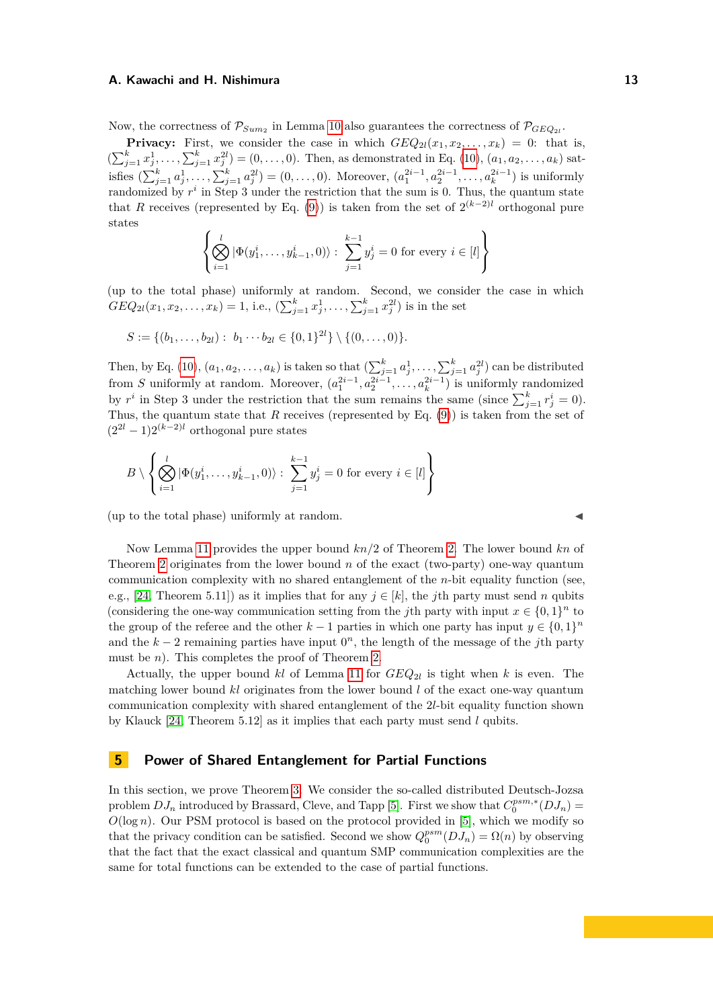Now, the correctness of  $\mathcal{P}_{Sum_2}$  in Lemma [10](#page-9-0) also guarantees the correctness of  $\mathcal{P}_{GEQ_{2l}}$ .

**Privacy:** First, we consider the case in which  $GEQ_{2l}(x_1, x_2, \ldots, x_k) = 0$ : that is,  $(\sum_{j=1}^{k} x_j^1, \ldots, \sum_{j=1}^{k} x_j^{2l}) = (0, \ldots, 0)$ . Then, as demonstrated in Eq. [\(10\)](#page-11-0),  $(a_1, a_2, \ldots, a_k)$  satisfies  $(\sum_{j=1}^{k} a_j^1, \ldots, \sum_{j=1}^{k} a_j^{2l}) = (0, \ldots, 0)$ . Moreover,  $(a_1^{2i-1}, a_2^{2i-1}, \ldots, a_k^{2i-1})$  is uniformly randomized by  $r^i$  in Step 3 under the restriction that the sum is 0. Thus, the quantum state that *R* receives (represented by Eq. [\(9\)](#page-11-1)) is taken from the set of  $2^{(k-2)l}$  orthogonal pure states

$$
\left\{ \bigotimes_{i=1}^{l} |\Phi(y_1^i, \dots, y_{k-1}^i, 0)\rangle : \sum_{j=1}^{k-1} y_j^i = 0 \text{ for every } i \in [l] \right\}
$$

(up to the total phase) uniformly at random. Second, we consider the case in which  $GEQ_{2l}(x_1, x_2, \ldots, x_k) = 1$ , i.e.,  $(\sum_{j=1}^k x_j^1, \ldots, \sum_{j=1}^k x_j^{2l})$  is in the set

$$
S := \{ (b_1, \ldots, b_{2l}) : b_1 \cdots b_{2l} \in \{0,1\}^{2l} \} \setminus \{ (0,\ldots,0) \}.
$$

Then, by Eq. [\(10\)](#page-11-0),  $(a_1, a_2, \ldots, a_k)$  is taken so that  $\left(\sum_{j=1}^k a_j^1, \ldots, \sum_{j=1}^k a_j^{2l}\right)$  can be distributed from *S* uniformly at random. Moreover,  $(a_1^{2i-1}, a_2^{2i-1}, \ldots, a_k^{2i-1})$  is uniformly randomized by  $r^i$  in Step 3 under the restriction that the sum remains the same (since  $\sum_{j=1}^k r^i_j = 0$ ). Thus, the quantum state that *R* receives (represented by Eq. [\(9\)](#page-11-1)) is taken from the set of  $(2^{2l} - 1)2^{(k-2)l}$  orthogonal pure states

$$
B \setminus \left\{ \bigotimes_{i=1}^{l} |\Phi(y_1^i, \dots, y_{k-1}^i, 0)\rangle : \sum_{j=1}^{k-1} y_j^i = 0 \text{ for every } i \in [l] \right\}
$$

 $($ up to the total phase $)$  uniformly at random.

Now Lemma [11](#page-11-2) provides the upper bound *kn/*2 of Theorem [2.](#page-2-1) The lower bound *kn* of Theorem [2](#page-2-1) originates from the lower bound *n* of the exact (two-party) one-way quantum communication complexity with no shared entanglement of the *n*-bit equality function (see, e.g., [\[24,](#page-16-17) Theorem 5.11]) as it implies that for any  $j \in [k]$ , the *j*th party must send *n* qubits (considering the one-way communication setting from the *j*th party with input  $x \in \{0,1\}^n$  to the group of the referee and the other  $k-1$  parties in which one party has input  $y \in \{0,1\}^n$ and the  $k-2$  remaining parties have input  $0<sup>n</sup>$ , the length of the message of the *j*th party must be *n*). This completes the proof of Theorem [2.](#page-2-1)

Actually, the upper bound  $kl$  of Lemma [11](#page-11-2) for  $GEQ_{2l}$  is tight when  $k$  is even. The matching lower bound *kl* originates from the lower bound *l* of the exact one-way quantum communication complexity with shared entanglement of the 2*l*-bit equality function shown by Klauck [\[24,](#page-16-17) Theorem 5.12] as it implies that each party must send *l* qubits.

# **5 Power of Shared Entanglement for Partial Functions**

In this section, we prove Theorem [3.](#page-2-2) We consider the so-called distributed Deutsch-Jozsa problem  $DJ_n$  introduced by Brassard, Cleve, and Tapp [\[5\]](#page-15-12). First we show that  $C_0^{psm,*}(DJ_n)$  $O(\log n)$ . Our PSM protocol is based on the protocol provided in [\[5\]](#page-15-12), which we modify so that the privacy condition can be satisfied. Second we show  $Q_0^{psm}(DJ_n) = \Omega(n)$  by observing that the fact that the exact classical and quantum SMP communication complexities are the same for total functions can be extended to the case of partial functions.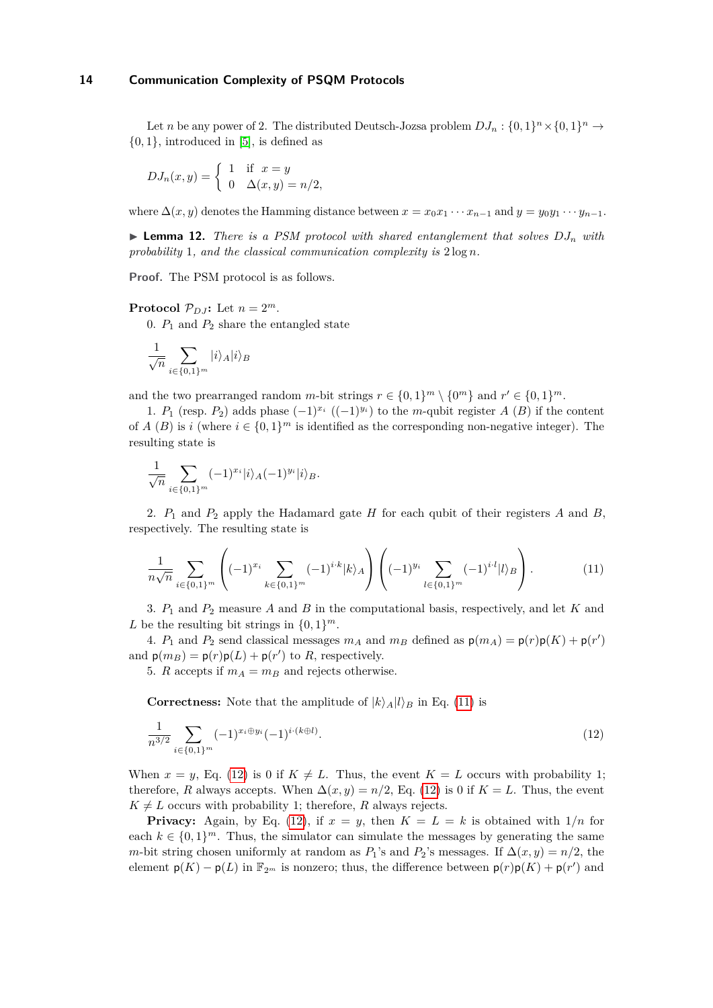Let *n* be any power of 2. The distributed Deutsch-Jozsa problem  $DJ_n: \{0,1\}^n \times \{0,1\}^n \to$  $\{0,1\}$ , introduced in [\[5\]](#page-15-12), is defined as

$$
DJ_n(x,y) = \begin{cases} 1 & \text{if } x = y \\ 0 & \Delta(x,y) = n/2, \end{cases}
$$

<span id="page-13-2"></span>where  $\Delta(x, y)$  denotes the Hamming distance between  $x = x_0x_1 \cdots x_{n-1}$  and  $y = y_0y_1 \cdots y_{n-1}$ .

 $\triangleright$  **Lemma 12.** *There is a PSM protocol with shared entanglement that solves*  $DJ_n$  *with probability* 1*, and the classical communication complexity is* 2 log *n.*

**Proof.** The PSM protocol is as follows.

**Protocol**  $\mathcal{P}_{D,I}$ : Let  $n = 2^m$ .

0.  $P_1$  and  $P_2$  share the entangled state

$$
\frac{1}{\sqrt{n}}\sum_{i\in\{0,1\}^m}|i\rangle_A|i\rangle_B
$$

and the two prearranged random *m*-bit strings  $r \in \{0,1\}^m \setminus \{0^m\}$  and  $r' \in \{0,1\}^m$ .

1. *P*<sub>1</sub> (resp. *P*<sub>2</sub>) adds phase  $(-1)^{x_i}$   $((-1)^{y_i})$  to the *m*-qubit register *A* (*B*) if the content of *A* (*B*) is *i* (where  $i \in \{0,1\}^m$  is identified as the corresponding non-negative integer). The resulting state is

$$
\frac{1}{\sqrt{n}} \sum_{i \in \{0,1\}^m} (-1)^{x_i} |i\rangle_A (-1)^{y_i} |i\rangle_B.
$$

2. *P*<sup>1</sup> and *P*<sup>2</sup> apply the Hadamard gate *H* for each qubit of their registers *A* and *B*, respectively. The resulting state is

<span id="page-13-0"></span>
$$
\frac{1}{n\sqrt{n}} \sum_{i \in \{0,1\}^m} \left( (-1)^{x_i} \sum_{k \in \{0,1\}^m} (-1)^{i \cdot k} |k\rangle_A \right) \left( (-1)^{y_i} \sum_{l \in \{0,1\}^m} (-1)^{i \cdot l} |l\rangle_B \right). \tag{11}
$$

3. *P*<sup>1</sup> and *P*<sup>2</sup> measure *A* and *B* in the computational basis, respectively, and let *K* and L be the resulting bit strings in  $\{0,1\}^m$ .

4. *P*<sub>1</sub> and *P*<sub>2</sub> send classical messages  $m_A$  and  $m_B$  defined as  $p(m_A) = p(r)p(K) + p(r')$ and  $p(m_B) = p(r)p(L) + p(r')$  to *R*, respectively.

5. *R* accepts if  $m_A = m_B$  and rejects otherwise.

<span id="page-13-1"></span>**Correctness:** Note that the amplitude of  $|k\rangle_A|l\rangle_B$  in Eq. [\(11\)](#page-13-0) is

$$
\frac{1}{n^{3/2}} \sum_{i \in \{0,1\}^m} (-1)^{x_i \oplus y_i} (-1)^{i \cdot (k \oplus l)}.
$$
\n(12)

When  $x = y$ , Eq. [\(12\)](#page-13-1) is 0 if  $K \neq L$ . Thus, the event  $K = L$  occurs with probability 1; therefore, *R* always accepts. When  $\Delta(x, y) = n/2$ , Eq. [\(12\)](#page-13-1) is 0 if  $K = L$ . Thus, the event  $K \neq L$  occurs with probability 1; therefore, *R* always rejects.

**Privacy:** Again, by Eq. [\(12\)](#page-13-1), if  $x = y$ , then  $K = L = k$  is obtained with  $1/n$  for each  $k \in \{0,1\}^m$ . Thus, the simulator can simulate the messages by generating the same *m*-bit string chosen uniformly at random as  $P_1$ 's and  $P_2$ 's messages. If  $\Delta(x, y) = n/2$ , the element  $p(K) - p(L)$  in  $\mathbb{F}_{2^m}$  is nonzero; thus, the difference between  $p(r)p(K) + p(r')$  and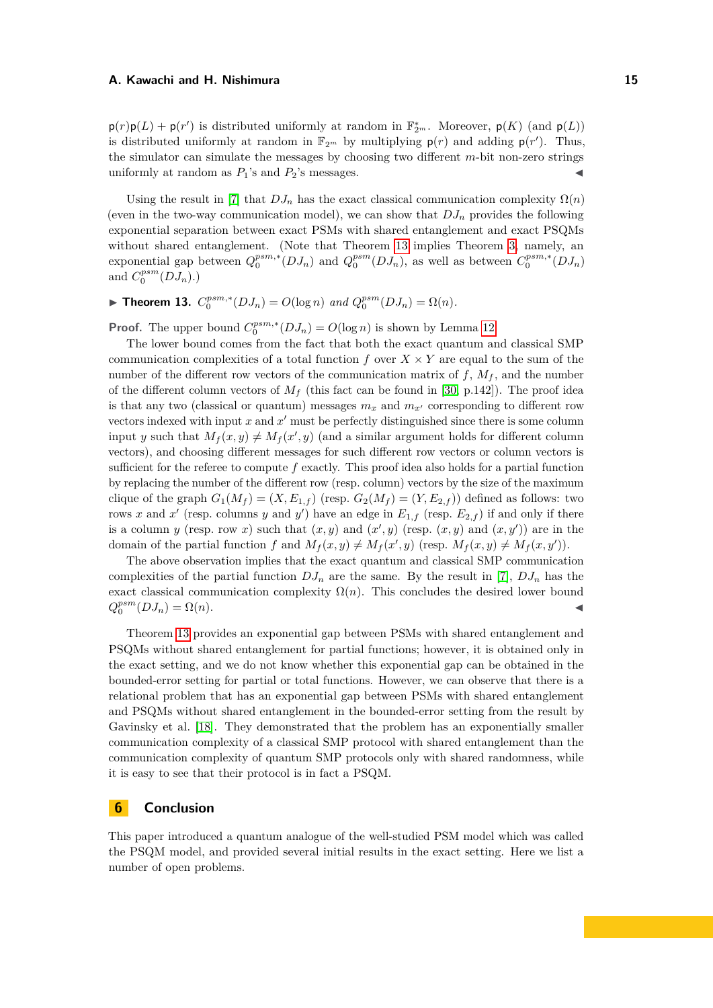$p(r)p(L) + p(r')$  is distributed uniformly at random in  $\mathbb{F}_{2^m}^*$ . Moreover,  $p(K)$  (and  $p(L)$ ) is distributed uniformly at random in  $\mathbb{F}_{2^m}$  by multiplying  $p(r)$  and adding  $p(r')$ . Thus, the simulator can simulate the messages by choosing two different *m*-bit non-zero strings uniformly at random as  $P_1$ 's and  $P_2$ 's messages.

Using the result in [\[7\]](#page-15-0) that  $DJ_n$  has the exact classical communication complexity  $\Omega(n)$ (even in the two-way communication model), we can show that  $DJ_n$  provides the following exponential separation between exact PSMs with shared entanglement and exact PSQMs without shared entanglement. (Note that Theorem [13](#page-14-0) implies Theorem [3,](#page-2-2) namely, an exponential gap between  $Q_0^{psm,*}(DJ_n)$  and  $Q_0^{psm}(DJ_n)$ , as well as between  $C_0^{psm,*}(DJ_n)$ and  $C_0^{psm}(DJ_n)$ .)

<span id="page-14-0"></span>▶ **Theorem 13.**  $C_0^{psm,*}(DJ_n) = O(\log n)$  and  $Q_0^{psm}(DJ_n) = \Omega(n)$ .

**Proof.** The upper bound  $C_0^{psm,*}(DJ_n) = O(\log n)$  is shown by Lemma [12.](#page-13-2)

The lower bound comes from the fact that both the exact quantum and classical SMP communication complexities of a total function  $f$  over  $X \times Y$  are equal to the sum of the number of the different row vectors of the communication matrix of  $f$ ,  $M_f$ , and the number of the different column vectors of  $M_f$  (this fact can be found in [\[30,](#page-16-18) p.142]). The proof idea is that any two (classical or quantum) messages  $m_x$  and  $m_{x'}$  corresponding to different row vectors indexed with input  $x$  and  $x'$  must be perfectly distinguished since there is some column input *y* such that  $M_f(x, y) \neq M_f(x', y)$  (and a similar argument holds for different column vectors), and choosing different messages for such different row vectors or column vectors is sufficient for the referee to compute *f* exactly. This proof idea also holds for a partial function by replacing the number of the different row (resp. column) vectors by the size of the maximum clique of the graph  $G_1(M_f) = (X, E_{1,f})$  (resp.  $G_2(M_f) = (Y, E_{2,f})$ ) defined as follows: two rows *x* and *x'* (resp. columns *y* and *y'*) have an edge in  $E_{1,f}$  (resp.  $E_{2,f}$ ) if and only if there is a column *y* (resp. row *x*) such that  $(x, y)$  and  $(x', y)$  (resp.  $(x, y)$  and  $(x, y')$ ) are in the domain of the partial function *f* and  $M_f(x, y) \neq M_f(x', y)$  (resp.  $M_f(x, y) \neq M_f(x, y')$ ).

The above observation implies that the exact quantum and classical SMP communication complexities of the partial function  $DJ_n$  are the same. By the result in [\[7\]](#page-15-0),  $DJ_n$  has the exact classical communication complexity  $\Omega(n)$ . This concludes the desired lower bound  $Q_0^{psm}(DJ_n) = \Omega(n).$ 

Theorem [13](#page-14-0) provides an exponential gap between PSMs with shared entanglement and PSQMs without shared entanglement for partial functions; however, it is obtained only in the exact setting, and we do not know whether this exponential gap can be obtained in the bounded-error setting for partial or total functions. However, we can observe that there is a relational problem that has an exponential gap between PSMs with shared entanglement and PSQMs without shared entanglement in the bounded-error setting from the result by Gavinsky et al. [\[18\]](#page-16-5). They demonstrated that the problem has an exponentially smaller communication complexity of a classical SMP protocol with shared entanglement than the communication complexity of quantum SMP protocols only with shared randomness, while it is easy to see that their protocol is in fact a PSQM.

# **6 Conclusion**

This paper introduced a quantum analogue of the well-studied PSM model which was called the PSQM model, and provided several initial results in the exact setting. Here we list a number of open problems.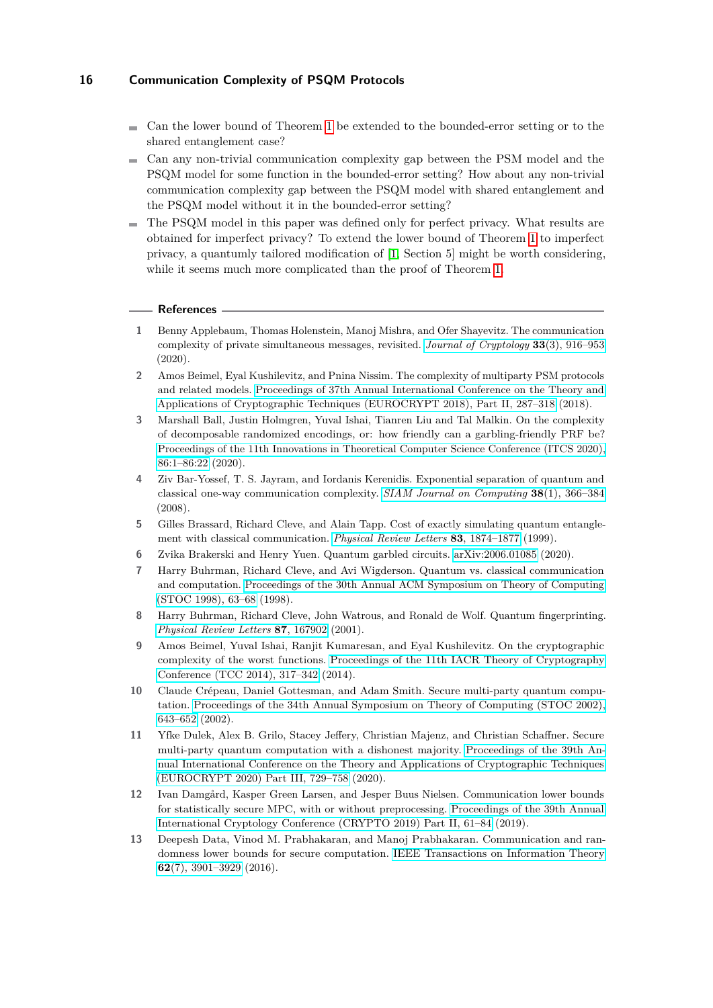- $\blacksquare$  Can the lower bound of Theorem [1](#page-2-0) be extended to the bounded-error setting or to the shared entanglement case?
- Can any non-trivial communication complexity gap between the PSM model and the PSQM model for some function in the bounded-error setting? How about any non-trivial communication complexity gap between the PSQM model with shared entanglement and the PSQM model without it in the bounded-error setting?
- The PSQM model in this paper was defined only for perfect privacy. What results are obtained for imperfect privacy? To extend the lower bound of Theorem [1](#page-2-0) to imperfect privacy, a quantumly tailored modification of [\[1,](#page-15-6) Section 5] might be worth considering, while it seems much more complicated than the proof of Theorem [1.](#page-2-0)

## **References**

- <span id="page-15-6"></span>**1** Benny Applebaum, Thomas Holenstein, Manoj Mishra, and Ofer Shayevitz. The communication complexity of private simultaneous messages, revisited. *[Journal of Cryptology](https://doi.org/10.1007/s00145-019-09334-y)* **33**(3), 916–953 (2020).
- <span id="page-15-5"></span>**2** Amos Beimel, Eyal Kushilevitz, and Pnina Nissim. The complexity of multiparty PSM protocols and related models. [Proceedings of 37th Annual International Conference on the Theory and](https://doi.org/10.1007/978-3-319-78375-8_10) [Applications of Cryptographic Techniques \(EUROCRYPT 2018\), Part II, 287–318](https://doi.org/10.1007/978-3-319-78375-8_10) (2018).
- <span id="page-15-10"></span>**3** Marshall Ball, Justin Holmgren, Yuval Ishai, Tianren Liu and Tal Malkin. On the complexity of decomposable randomized encodings, or: how friendly can a garbling-friendly PRF be? [Proceedings of the 11th Innovations in Theoretical Computer Science Conference \(ITCS 2020\),](https://doi.org/10.4230/LIPIcs.ITCS.2020.86) [86:1–86:22](https://doi.org/10.4230/LIPIcs.ITCS.2020.86) (2020).
- <span id="page-15-7"></span>**4** Ziv Bar-Yossef, T. S. Jayram, and Iordanis Kerenidis. Exponential separation of quantum and classical one-way communication complexity. *[SIAM Journal on Computing](https://doi.org/10.1137/060651835)* **38**(1), 366–384 (2008).
- <span id="page-15-12"></span>**5** Gilles Brassard, Richard Cleve, and Alain Tapp. Cost of exactly simulating quantum entanglement with classical communication. *[Physical Review Letters](https://journals.aps.org/prl/abstract/10.1103/PhysRevLett.83.1874)* **83**, 1874–1877 (1999).
- <span id="page-15-11"></span>**6** Zvika Brakerski and Henry Yuen. Quantum garbled circuits. [arXiv:2006.01085](https://arxiv.org/abs/2006.01085) (2020).
- <span id="page-15-0"></span>**7** Harry Buhrman, Richard Cleve, and Avi Wigderson. Quantum vs. classical communication and computation. [Proceedings of the 30th Annual ACM Symposium on Theory of Computing](https://doi.org/10.1145/276698.276713) [\(STOC 1998\), 63–68](https://doi.org/10.1145/276698.276713) (1998).
- <span id="page-15-1"></span>**8** Harry Buhrman, Richard Cleve, John Watrous, and Ronald de Wolf. Quantum fingerprinting. *[Physical Review Letters](https://journals.aps.org/prl/abstract/10.1103/PhysRevLett.87.167902)* **87**, 167902 (2001).
- <span id="page-15-4"></span>**9** Amos Beimel, Yuval Ishai, Ranjit Kumaresan, and Eyal Kushilevitz. On the cryptographic complexity of the worst functions. [Proceedings of the 11th IACR Theory of Cryptography](https://doi.org/10.1007/978-3-642-54242-8_14) [Conference \(TCC 2014\), 317–342](https://doi.org/10.1007/978-3-642-54242-8_14) (2014).
- <span id="page-15-8"></span>**10** Claude Crépeau, Daniel Gottesman, and Adam Smith. Secure multi-party quantum computation. [Proceedings of the 34th Annual Symposium on Theory of Computing \(STOC 2002\),](https://doi.org/10.1145/509907.510000) [643–652](https://doi.org/10.1145/509907.510000) (2002).
- <span id="page-15-9"></span>**11** Yfke Dulek, Alex B. Grilo, Stacey Jeffery, Christian Majenz, and Christian Schaffner. Secure multi-party quantum computation with a dishonest majority. [Proceedings of the 39th An](https://doi.org/10.1007/978-3-030-45727-3_25)[nual International Conference on the Theory and Applications of Cryptographic Techniques](https://doi.org/10.1007/978-3-030-45727-3_25) [\(EUROCRYPT 2020\) Part III, 729–758](https://doi.org/10.1007/978-3-030-45727-3_25) (2020).
- <span id="page-15-3"></span>**12** Ivan Damgård, Kasper Green Larsen, and Jesper Buus Nielsen. Communication lower bounds for statistically secure MPC, with or without preprocessing. [Proceedings of the 39th Annual](https://doi.org/10.1007/978-3-030-26951-7_3) [International Cryptology Conference \(CRYPTO 2019\) Part II, 61–84](https://doi.org/10.1007/978-3-030-26951-7_3) (2019).
- <span id="page-15-2"></span>**13** Deepesh Data, Vinod M. Prabhakaran, and Manoj Prabhakaran. Communication and randomness lower bounds for secure computation. [IEEE Transactions on Information Theory](https://doi.org/10.1109/TIT.2016.2568207) **62**[\(7\), 3901–3929](https://doi.org/10.1109/TIT.2016.2568207) (2016).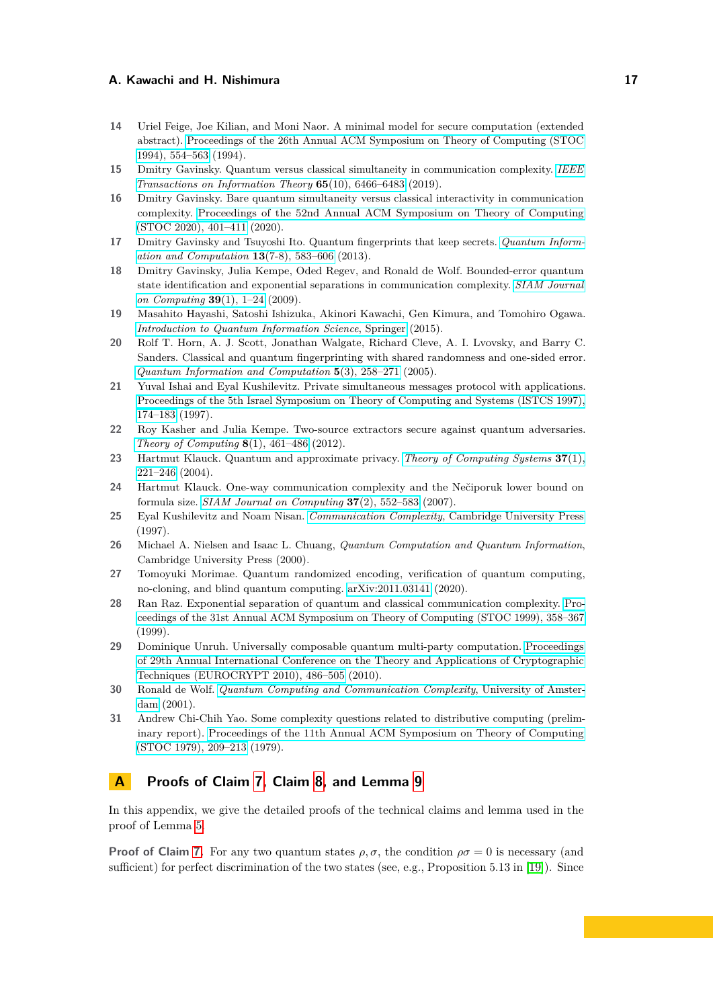- <span id="page-16-3"></span>**14** Uriel Feige, Joe Kilian, and Moni Naor. A minimal model for secure computation (extended abstract). [Proceedings of the 26th Annual ACM Symposium on Theory of Computing \(STOC](https://doi.org/10.1145/195058.195408) [1994\), 554–563](https://doi.org/10.1145/195058.195408) (1994).
- <span id="page-16-7"></span>**15** Dmitry Gavinsky. Quantum versus classical simultaneity in communication complexity. *[IEEE](https://doi.org/10.1109/TIT.2019.2918453) [Transactions on Information Theory](https://doi.org/10.1109/TIT.2019.2918453)* **65**(10), 6466–6483 (2019).
- <span id="page-16-6"></span>**16** Dmitry Gavinsky. Bare quantum simultaneity versus classical interactivity in communication complexity. [Proceedings of the 52nd Annual ACM Symposium on Theory of Computing](https://doi.org/10.1145/3357713.3384243) [\(STOC 2020\), 401–411](https://doi.org/10.1145/3357713.3384243) (2020).
- <span id="page-16-12"></span>**17** Dmitry Gavinsky and Tsuyoshi Ito. Quantum fingerprints that keep secrets. *[Quantum Inform](http://www.rintonpress.com/xxqic13/qic-13-78/0583-0606.pdf)[ation and Computation](http://www.rintonpress.com/xxqic13/qic-13-78/0583-0606.pdf)* **13**(7-8), 583–606 (2013).
- <span id="page-16-5"></span>**18** Dmitry Gavinsky, Julia Kempe, Oded Regev, and Ronald de Wolf. Bounded-error quantum state identification and exponential separations in communication complexity. *[SIAM Journal](https://doi.org/10.1137/060665798) [on Computing](https://doi.org/10.1137/060665798)* **39**(1), 1–24 (2009).
- <span id="page-16-14"></span>**19** Masahito Hayashi, Satoshi Ishizuka, Akinori Kawachi, Gen Kimura, and Tomohiro Ogawa. *[Introduction to Quantum Information Science](https://www.springer.com/gp/book/9783662435014)*, Springer (2015).
- <span id="page-16-8"></span>**20** Rolf T. Horn, A. J. Scott, Jonathan Walgate, Richard Cleve, A. I. Lvovsky, and Barry C. Sanders. Classical and quantum fingerprinting with shared randomness and one-sided error. *[Quantum Information and Computation](http://www.rintonpress.com/xqic5/qic-5-3/258-271.pdf)* **5**(3), 258–271 (2005).
- <span id="page-16-4"></span>**21** Yuval Ishai and Eyal Kushilevitz. Private simultaneous messages protocol with applications. [Proceedings of the 5th Israel Symposium on Theory of Computing and Systems \(ISTCS 1997\),](https://doi.org/10.1109/ISTCS.1997.595170) [174–183](https://doi.org/10.1109/ISTCS.1997.595170) (1997).
- <span id="page-16-9"></span>**22** Roy Kasher and Julia Kempe. Two-source extractors secure against quantum adversaries. *[Theory of Computing](https://doi.org/10.4086/toc.2012.v008a021)* **8**(1), 461–486 (2012).
- <span id="page-16-11"></span>**23** Hartmut Klauck. Quantum and approximate privacy. *[Theory of Computing Systems](https://doi.org/10.1007/s00224-003-1113-7)* **37**(1), [221–246](https://doi.org/10.1007/s00224-003-1113-7) (2004).
- <span id="page-16-17"></span>**24** Hartmut Klauck. One-way communication complexity and the Nečiporuk lower bound on formula size. *[SIAM Journal on Computing](https://doi.org/10.1137/S009753970140004X)* **37**(2), 552–583 (2007).
- <span id="page-16-1"></span>**25** Eyal Kushilevitz and Noam Nisan. *Communication Complexity*[, Cambridge University Press](https://www.cambridge.org/core/books/communication-complexity/427E022FCBAC3FB5CEE4D39008D1E118) (1997).
- <span id="page-16-15"></span>**26** Michael A. Nielsen and Isaac L. Chuang, *Quantum Computation and Quantum Information*, Cambridge University Press (2000).
- <span id="page-16-13"></span>**27** Tomoyuki Morimae. Quantum randomized encoding, verification of quantum computing, no-cloning, and blind quantum computing. [arXiv:2011.03141](https://arxiv.org/abs/2011.03141) (2020).
- <span id="page-16-2"></span>**28** Ran Raz. Exponential separation of quantum and classical communication complexity. [Pro](https://doi.org/10.1145/301250.301343)[ceedings of the 31st Annual ACM Symposium on Theory of Computing \(STOC 1999\), 358–367](https://doi.org/10.1145/301250.301343) (1999).
- <span id="page-16-10"></span>**29** Dominique Unruh. Universally composable quantum multi-party computation. [Proceedings](https://doi.org/10.1007/978-3-642-13190-5_25) [of 29th Annual International Conference on the Theory and Applications of Cryptographic](https://doi.org/10.1007/978-3-642-13190-5_25) [Techniques \(EUROCRYPT 2010\), 486–505](https://doi.org/10.1007/978-3-642-13190-5_25) (2010).
- <span id="page-16-18"></span>**30** Ronald de Wolf. *[Quantum Computing and Communication Complexity](https://dare.uva.nl/search?identifier=480e76ad-11b7-4226-9c54-6b39c51e6f37)*, University of Amster[dam](https://dare.uva.nl/search?identifier=480e76ad-11b7-4226-9c54-6b39c51e6f37) (2001).
- <span id="page-16-0"></span>**31** Andrew Chi-Chih Yao. Some complexity questions related to distributive computing (preliminary report). [Proceedings of the 11th Annual ACM Symposium on Theory of Computing](https://doi.org/10.1145/800135.804414) [\(STOC 1979\), 209–213](https://doi.org/10.1145/800135.804414) (1979).

# <span id="page-16-16"></span>**A Proofs of Claim [7,](#page-6-0) Claim [8,](#page-7-3) and Lemma [9](#page-7-0)**

In this appendix, we give the detailed proofs of the technical claims and lemma used in the proof of Lemma [5.](#page-5-0)

**Proof of Claim [7.](#page-6-0)** For any two quantum states  $\rho$ ,  $\sigma$ , the condition  $\rho\sigma = 0$  is necessary (and sufficient) for perfect discrimination of the two states (see, e.g., Proposition 5.13 in [\[19\]](#page-16-14)). Since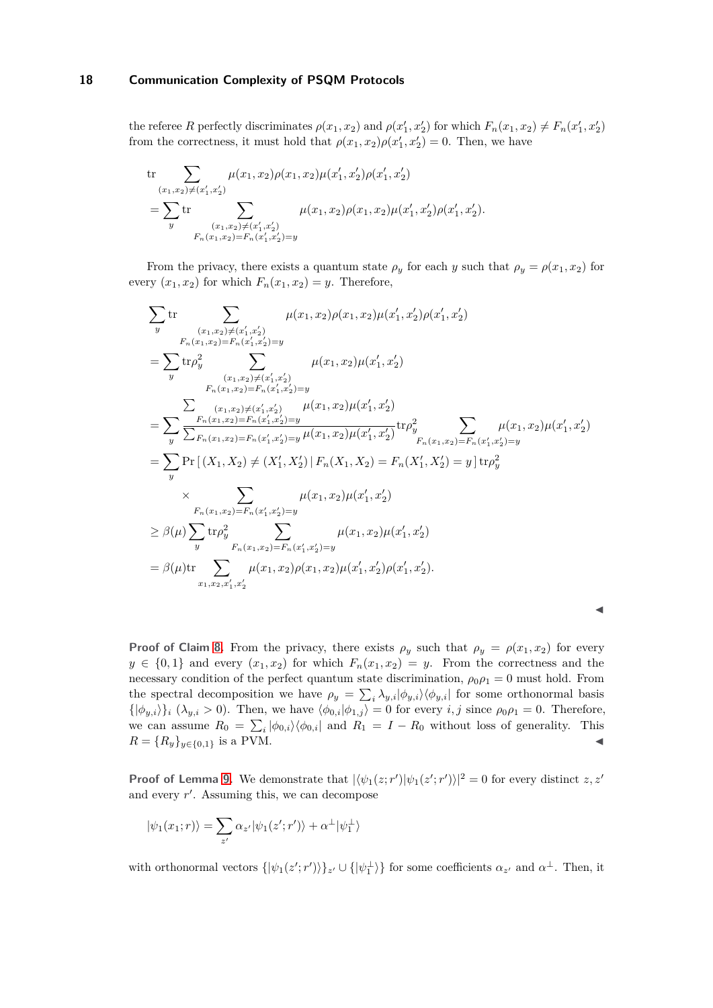the referee *R* perfectly discriminates  $\rho(x_1, x_2)$  and  $\rho(x'_1, x'_2)$  for which  $F_n(x_1, x_2) \neq F_n(x'_1, x'_2)$ from the correctness, it must hold that  $\rho(x_1, x_2)\rho(x_1', x_2') = 0$ . Then, we have

$$
\text{tr}\sum_{(x_1,x_2)\neq (x_1',x_2')}\mu(x_1,x_2)\rho(x_1,x_2)\mu(x_1',x_2')\rho(x_1',x_2')\\=\sum_y\text{tr}\sum_{\substack{(x_1,x_2)\neq (x_1',x_2')\\F_n(x_1,x_2)=F_n(x_1',x_2')=y}}\mu(x_1,x_2)\rho(x_1,x_2)\mu(x_1',x_2')\rho(x_1',x_2').
$$

From the privacy, there exists a quantum state  $\rho_y$  for each *y* such that  $\rho_y = \rho(x_1, x_2)$  for every  $(x_1, x_2)$  for which  $F_n(x_1, x_2) = y$ . Therefore,

$$
\sum_{y} \text{tr} \sum_{\substack{(x_1,x_2)\neq (x_1',x_2')\\F_n(x_1,x_2)=F_n(x_1',x_2')=y}} \mu(x_1,x_2)\mu(x_1',x_2')\mu(x_1',x_2')\mu(x_1',x_2')
$$
\n
$$
= \sum_{y} \text{tr}\rho_y^2 \sum_{\substack{(x_1,x_2)\neq (x_1',x_2')=y\\F_n(x_1,x_2)=F_n(x_1',x_2')=y}} \mu(x_1,x_2)\mu(x_1',x_2')
$$
\n
$$
= \sum_{y} \frac{\sum_{\substack{(x_1,x_2)\neq (x_1',x_2')=y\\F_n(x_1,x_2)=F_n(x_1',x_2')=y}} \mu(x_1,x_2)\mu(x_1',x_2')}
$$
\n
$$
= \sum_{y} \frac{F_n(x_1,x_2)=F_n(x_1',x_2')=y}{\sum_{F_n(x_1,x_2)=F_n(x_1',x_2')=y}} \mu(x_1,x_2)\mu(x_1',x_2')\mu(x_1',x_2')=F_n(x_1',x_2')=y
$$
\n
$$
= \sum_{y} \text{Pr}\left[\left(X_1,X_2\right)\neq \left(X_1',X_2'\right)|F_n(X_1,X_2)=F_n(X_1',X_2')=y\right] \text{tr}\rho_y^2
$$
\n
$$
\times \sum_{\substack{F_n(x_1,x_2)=F_n(x_1',x_2')=y\\F_n(x_1,x_2)=F_n(x_1',x_2')=y}} \mu(x_1,x_2)\mu(x_1',x_2')
$$
\n
$$
= \beta(\mu)\text{tr} \sum_{x_1,x_2,x_1',x_2'} \mu(x_1,x_2)\rho(x_1,x_2)\mu(x_1',x_2')\rho(x_1',x_2').
$$

| ×  |
|----|
| M  |
| M. |

**Proof of Claim [8.](#page-7-3)** From the privacy, there exists  $\rho_y$  such that  $\rho_y = \rho(x_1, x_2)$  for every  $y \in \{0,1\}$  and every  $(x_1, x_2)$  for which  $F_n(x_1, x_2) = y$ . From the correctness and the necessary condition of the perfect quantum state discrimination,  $\rho_0 \rho_1 = 0$  must hold. From the spectral decomposition we have  $\rho_y = \sum_i \lambda_{y,i} |\phi_{y,i}\rangle \langle \phi_{y,i}|$  for some orthonormal basis  $\{\ket{\phi_{y,i}}\}_i$  ( $\lambda_{y,i} > 0$ ). Then, we have  $\langle \phi_{0,i} | \phi_{1,j} \rangle = 0$  for every *i, j* since  $\rho_0 \rho_1 = 0$ . Therefore, we can assume  $R_0 = \sum_i |\phi_{0,i}\rangle \langle \phi_{0,i}|$  and  $R_1 = I - R_0$  without loss of generality. This  $R = \{R_y\}_{y \in \{0,1\}}$  is a PVM.

**Proof of Lemma [9.](#page-7-0)** We demonstrate that  $|\langle \psi_1(z; r') | \psi_1(z'; r') \rangle|^2 = 0$  for every distinct *z*, *z'* and every *r* ′ . Assuming this, we can decompose

$$
|\psi_1(x_1;r)\rangle = \sum_{z'} \alpha_{z'} |\psi_1(z';r')\rangle + \alpha^{\perp} |\psi_1^{\perp}\rangle
$$

with orthonormal vectors  $\{|\psi_1(z';r')\rangle\}_z$  ∪  $\{|\psi_1^{\perp}\rangle\}$  for some coefficients  $\alpha_{z'}$  and  $\alpha^{\perp}$ . Then, it